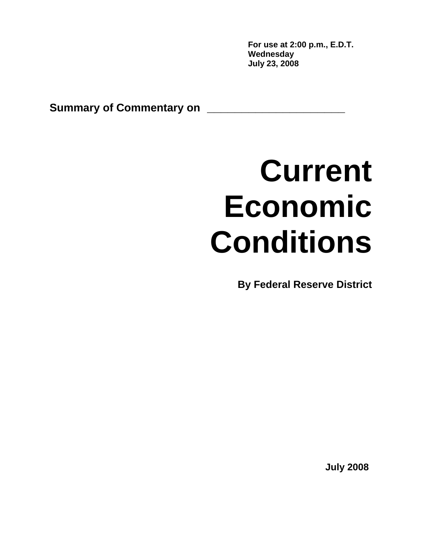**For use at 2:00 p.m., E.D.T. Wednesday July 23, 2008** 

Summary of Commentary on **\_\_\_\_\_\_\_\_\_\_\_\_** 

# **Current Economic Conditions**

**By Federal Reserve District** 

**July 2008**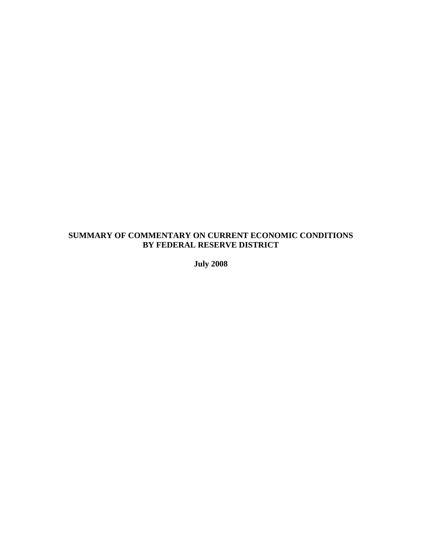# **SUMMARY OF COMMENTARY ON CURRENT ECONOMIC CONDITIONS BY FEDERAL RESERVE DISTRICT**

**July 2008**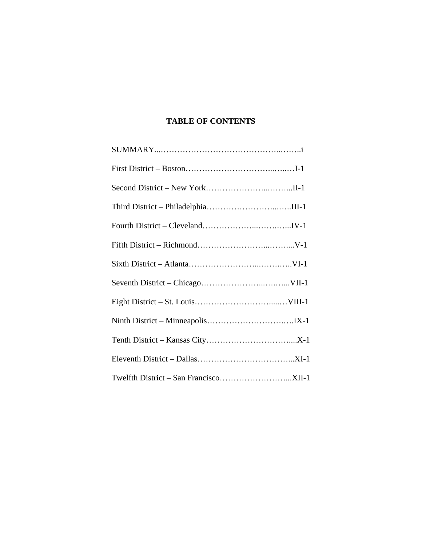# **TABLE OF CONTENTS**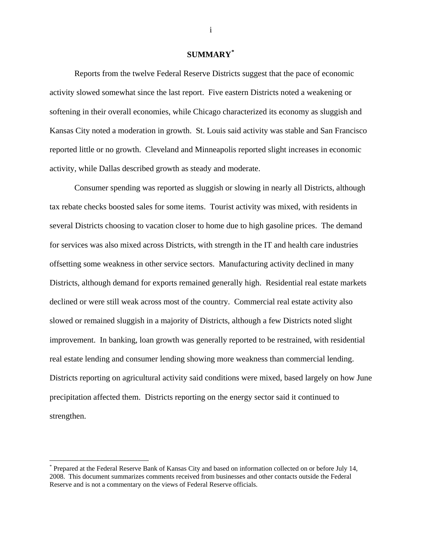# **SUMMARY[\\*](#page-3-0)**

Reports from the twelve Federal Reserve Districts suggest that the pace of economic activity slowed somewhat since the last report. Five eastern Districts noted a weakening or softening in their overall economies, while Chicago characterized its economy as sluggish and Kansas City noted a moderation in growth. St. Louis said activity was stable and San Francisco reported little or no growth. Cleveland and Minneapolis reported slight increases in economic activity, while Dallas described growth as steady and moderate.

 Consumer spending was reported as sluggish or slowing in nearly all Districts, although tax rebate checks boosted sales for some items. Tourist activity was mixed, with residents in several Districts choosing to vacation closer to home due to high gasoline prices. The demand for services was also mixed across Districts, with strength in the IT and health care industries offsetting some weakness in other service sectors. Manufacturing activity declined in many Districts, although demand for exports remained generally high. Residential real estate markets declined or were still weak across most of the country. Commercial real estate activity also slowed or remained sluggish in a majority of Districts, although a few Districts noted slight improvement. In banking, loan growth was generally reported to be restrained, with residential real estate lending and consumer lending showing more weakness than commercial lending. Districts reporting on agricultural activity said conditions were mixed, based largely on how June precipitation affected them. Districts reporting on the energy sector said it continued to strengthen.

 $\overline{a}$ 

i

<span id="page-3-0"></span><sup>\*</sup> Prepared at the Federal Reserve Bank of Kansas City and based on information collected on or before July 14, 2008. This document summarizes comments received from businesses and other contacts outside the Federal Reserve and is not a commentary on the views of Federal Reserve officials.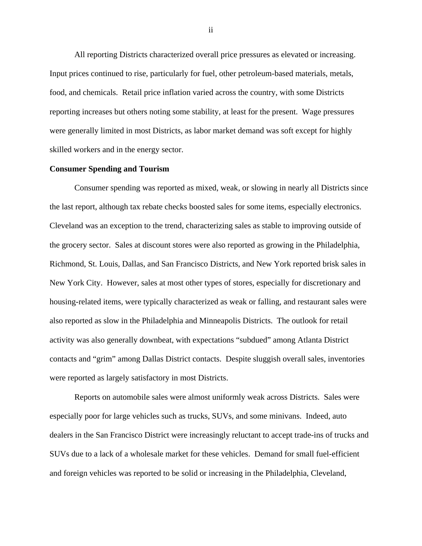All reporting Districts characterized overall price pressures as elevated or increasing. Input prices continued to rise, particularly for fuel, other petroleum-based materials, metals, food, and chemicals. Retail price inflation varied across the country, with some Districts reporting increases but others noting some stability, at least for the present. Wage pressures were generally limited in most Districts, as labor market demand was soft except for highly skilled workers and in the energy sector.

## **Consumer Spending and Tourism**

 Consumer spending was reported as mixed, weak, or slowing in nearly all Districts since the last report, although tax rebate checks boosted sales for some items, especially electronics. Cleveland was an exception to the trend, characterizing sales as stable to improving outside of the grocery sector. Sales at discount stores were also reported as growing in the Philadelphia, Richmond, St. Louis, Dallas, and San Francisco Districts, and New York reported brisk sales in New York City. However, sales at most other types of stores, especially for discretionary and housing-related items, were typically characterized as weak or falling, and restaurant sales were also reported as slow in the Philadelphia and Minneapolis Districts. The outlook for retail activity was also generally downbeat, with expectations "subdued" among Atlanta District contacts and "grim" among Dallas District contacts. Despite sluggish overall sales, inventories were reported as largely satisfactory in most Districts.

 Reports on automobile sales were almost uniformly weak across Districts. Sales were especially poor for large vehicles such as trucks, SUVs, and some minivans. Indeed, auto dealers in the San Francisco District were increasingly reluctant to accept trade-ins of trucks and SUVs due to a lack of a wholesale market for these vehicles. Demand for small fuel-efficient and foreign vehicles was reported to be solid or increasing in the Philadelphia, Cleveland,

ii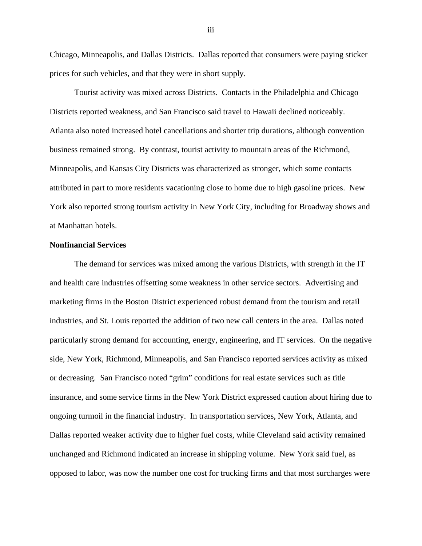Chicago, Minneapolis, and Dallas Districts. Dallas reported that consumers were paying sticker prices for such vehicles, and that they were in short supply.

 Tourist activity was mixed across Districts. Contacts in the Philadelphia and Chicago Districts reported weakness, and San Francisco said travel to Hawaii declined noticeably. Atlanta also noted increased hotel cancellations and shorter trip durations, although convention business remained strong. By contrast, tourist activity to mountain areas of the Richmond, Minneapolis, and Kansas City Districts was characterized as stronger, which some contacts attributed in part to more residents vacationing close to home due to high gasoline prices. New York also reported strong tourism activity in New York City, including for Broadway shows and at Manhattan hotels.

## **Nonfinancial Services**

The demand for services was mixed among the various Districts, with strength in the IT and health care industries offsetting some weakness in other service sectors. Advertising and marketing firms in the Boston District experienced robust demand from the tourism and retail industries, and St. Louis reported the addition of two new call centers in the area. Dallas noted particularly strong demand for accounting, energy, engineering, and IT services. On the negative side, New York, Richmond, Minneapolis, and San Francisco reported services activity as mixed or decreasing. San Francisco noted "grim" conditions for real estate services such as title insurance, and some service firms in the New York District expressed caution about hiring due to ongoing turmoil in the financial industry. In transportation services, New York, Atlanta, and Dallas reported weaker activity due to higher fuel costs, while Cleveland said activity remained unchanged and Richmond indicated an increase in shipping volume. New York said fuel, as opposed to labor, was now the number one cost for trucking firms and that most surcharges were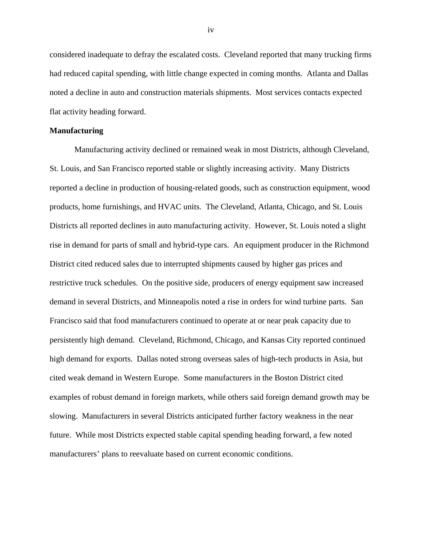considered inadequate to defray the escalated costs. Cleveland reported that many trucking firms had reduced capital spending, with little change expected in coming months. Atlanta and Dallas noted a decline in auto and construction materials shipments. Most services contacts expected flat activity heading forward.

# **Manufacturing**

Manufacturing activity declined or remained weak in most Districts, although Cleveland, St. Louis, and San Francisco reported stable or slightly increasing activity. Many Districts reported a decline in production of housing-related goods, such as construction equipment, wood products, home furnishings, and HVAC units. The Cleveland, Atlanta, Chicago, and St. Louis Districts all reported declines in auto manufacturing activity. However, St. Louis noted a slight rise in demand for parts of small and hybrid-type cars. An equipment producer in the Richmond District cited reduced sales due to interrupted shipments caused by higher gas prices and restrictive truck schedules. On the positive side, producers of energy equipment saw increased demand in several Districts, and Minneapolis noted a rise in orders for wind turbine parts. San Francisco said that food manufacturers continued to operate at or near peak capacity due to persistently high demand. Cleveland, Richmond, Chicago, and Kansas City reported continued high demand for exports. Dallas noted strong overseas sales of high-tech products in Asia, but cited weak demand in Western Europe. Some manufacturers in the Boston District cited examples of robust demand in foreign markets, while others said foreign demand growth may be slowing. Manufacturers in several Districts anticipated further factory weakness in the near future. While most Districts expected stable capital spending heading forward, a few noted manufacturers' plans to reevaluate based on current economic conditions.

iv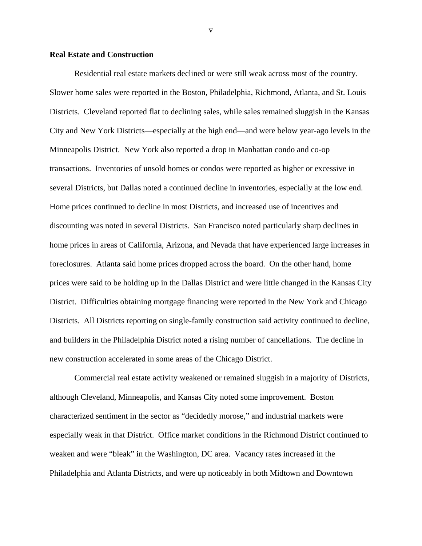# **Real Estate and Construction**

 Residential real estate markets declined or were still weak across most of the country. Slower home sales were reported in the Boston, Philadelphia, Richmond, Atlanta, and St. Louis Districts. Cleveland reported flat to declining sales, while sales remained sluggish in the Kansas City and New York Districts—especially at the high end—and were below year-ago levels in the Minneapolis District. New York also reported a drop in Manhattan condo and co-op transactions. Inventories of unsold homes or condos were reported as higher or excessive in several Districts, but Dallas noted a continued decline in inventories, especially at the low end. Home prices continued to decline in most Districts, and increased use of incentives and discounting was noted in several Districts. San Francisco noted particularly sharp declines in home prices in areas of California, Arizona, and Nevada that have experienced large increases in foreclosures. Atlanta said home prices dropped across the board. On the other hand, home prices were said to be holding up in the Dallas District and were little changed in the Kansas City District. Difficulties obtaining mortgage financing were reported in the New York and Chicago Districts. All Districts reporting on single-family construction said activity continued to decline, and builders in the Philadelphia District noted a rising number of cancellations. The decline in new construction accelerated in some areas of the Chicago District.

 Commercial real estate activity weakened or remained sluggish in a majority of Districts, although Cleveland, Minneapolis, and Kansas City noted some improvement. Boston characterized sentiment in the sector as "decidedly morose," and industrial markets were especially weak in that District. Office market conditions in the Richmond District continued to weaken and were "bleak" in the Washington, DC area. Vacancy rates increased in the Philadelphia and Atlanta Districts, and were up noticeably in both Midtown and Downtown

v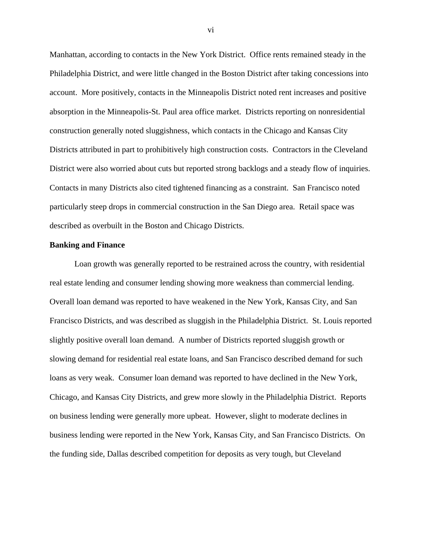Manhattan, according to contacts in the New York District. Office rents remained steady in the Philadelphia District, and were little changed in the Boston District after taking concessions into account. More positively, contacts in the Minneapolis District noted rent increases and positive absorption in the Minneapolis-St. Paul area office market. Districts reporting on nonresidential construction generally noted sluggishness, which contacts in the Chicago and Kansas City Districts attributed in part to prohibitively high construction costs. Contractors in the Cleveland District were also worried about cuts but reported strong backlogs and a steady flow of inquiries. Contacts in many Districts also cited tightened financing as a constraint. San Francisco noted particularly steep drops in commercial construction in the San Diego area. Retail space was described as overbuilt in the Boston and Chicago Districts.

## **Banking and Finance**

Loan growth was generally reported to be restrained across the country, with residential real estate lending and consumer lending showing more weakness than commercial lending. Overall loan demand was reported to have weakened in the New York, Kansas City, and San Francisco Districts, and was described as sluggish in the Philadelphia District. St. Louis reported slightly positive overall loan demand. A number of Districts reported sluggish growth or slowing demand for residential real estate loans, and San Francisco described demand for such loans as very weak. Consumer loan demand was reported to have declined in the New York, Chicago, and Kansas City Districts, and grew more slowly in the Philadelphia District. Reports on business lending were generally more upbeat. However, slight to moderate declines in business lending were reported in the New York, Kansas City, and San Francisco Districts. On the funding side, Dallas described competition for deposits as very tough, but Cleveland

vi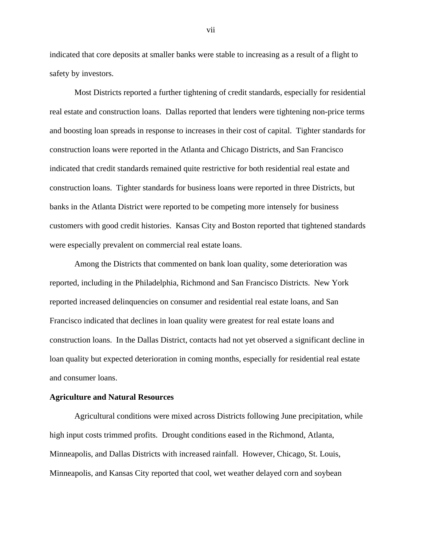indicated that core deposits at smaller banks were stable to increasing as a result of a flight to safety by investors.

Most Districts reported a further tightening of credit standards, especially for residential real estate and construction loans. Dallas reported that lenders were tightening non-price terms and boosting loan spreads in response to increases in their cost of capital. Tighter standards for construction loans were reported in the Atlanta and Chicago Districts, and San Francisco indicated that credit standards remained quite restrictive for both residential real estate and construction loans. Tighter standards for business loans were reported in three Districts, but banks in the Atlanta District were reported to be competing more intensely for business customers with good credit histories. Kansas City and Boston reported that tightened standards were especially prevalent on commercial real estate loans.

 Among the Districts that commented on bank loan quality, some deterioration was reported, including in the Philadelphia, Richmond and San Francisco Districts. New York reported increased delinquencies on consumer and residential real estate loans, and San Francisco indicated that declines in loan quality were greatest for real estate loans and construction loans. In the Dallas District, contacts had not yet observed a significant decline in loan quality but expected deterioration in coming months, especially for residential real estate and consumer loans.

## **Agriculture and Natural Resources**

Agricultural conditions were mixed across Districts following June precipitation, while high input costs trimmed profits. Drought conditions eased in the Richmond, Atlanta, Minneapolis, and Dallas Districts with increased rainfall. However, Chicago, St. Louis, Minneapolis, and Kansas City reported that cool, wet weather delayed corn and soybean

vii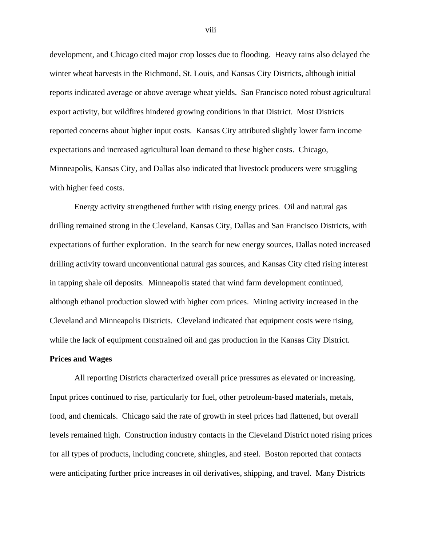development, and Chicago cited major crop losses due to flooding. Heavy rains also delayed the winter wheat harvests in the Richmond, St. Louis, and Kansas City Districts, although initial reports indicated average or above average wheat yields. San Francisco noted robust agricultural export activity, but wildfires hindered growing conditions in that District. Most Districts reported concerns about higher input costs. Kansas City attributed slightly lower farm income expectations and increased agricultural loan demand to these higher costs. Chicago, Minneapolis, Kansas City, and Dallas also indicated that livestock producers were struggling with higher feed costs.

Energy activity strengthened further with rising energy prices. Oil and natural gas drilling remained strong in the Cleveland, Kansas City, Dallas and San Francisco Districts, with expectations of further exploration. In the search for new energy sources, Dallas noted increased drilling activity toward unconventional natural gas sources, and Kansas City cited rising interest in tapping shale oil deposits. Minneapolis stated that wind farm development continued, although ethanol production slowed with higher corn prices. Mining activity increased in the Cleveland and Minneapolis Districts. Cleveland indicated that equipment costs were rising, while the lack of equipment constrained oil and gas production in the Kansas City District.

# **Prices and Wages**

All reporting Districts characterized overall price pressures as elevated or increasing. Input prices continued to rise, particularly for fuel, other petroleum-based materials, metals, food, and chemicals. Chicago said the rate of growth in steel prices had flattened, but overall levels remained high. Construction industry contacts in the Cleveland District noted rising prices for all types of products, including concrete, shingles, and steel. Boston reported that contacts were anticipating further price increases in oil derivatives, shipping, and travel. Many Districts

viii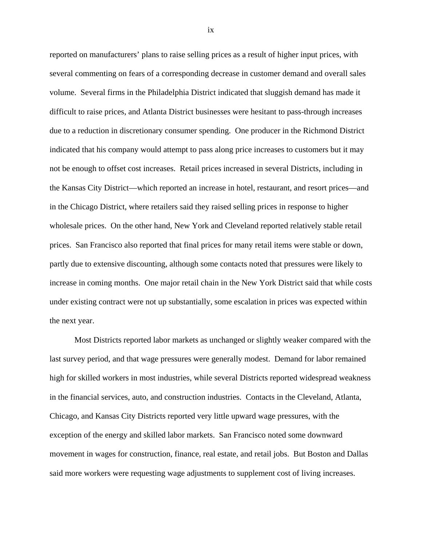reported on manufacturers' plans to raise selling prices as a result of higher input prices, with several commenting on fears of a corresponding decrease in customer demand and overall sales volume. Several firms in the Philadelphia District indicated that sluggish demand has made it difficult to raise prices, and Atlanta District businesses were hesitant to pass-through increases due to a reduction in discretionary consumer spending. One producer in the Richmond District indicated that his company would attempt to pass along price increases to customers but it may not be enough to offset cost increases. Retail prices increased in several Districts, including in the Kansas City District—which reported an increase in hotel, restaurant, and resort prices—and in the Chicago District, where retailers said they raised selling prices in response to higher wholesale prices. On the other hand, New York and Cleveland reported relatively stable retail prices. San Francisco also reported that final prices for many retail items were stable or down, partly due to extensive discounting, although some contacts noted that pressures were likely to increase in coming months. One major retail chain in the New York District said that while costs under existing contract were not up substantially, some escalation in prices was expected within the next year.

Most Districts reported labor markets as unchanged or slightly weaker compared with the last survey period, and that wage pressures were generally modest. Demand for labor remained high for skilled workers in most industries, while several Districts reported widespread weakness in the financial services, auto, and construction industries. Contacts in the Cleveland, Atlanta, Chicago, and Kansas City Districts reported very little upward wage pressures, with the exception of the energy and skilled labor markets. San Francisco noted some downward movement in wages for construction, finance, real estate, and retail jobs. But Boston and Dallas said more workers were requesting wage adjustments to supplement cost of living increases.

ix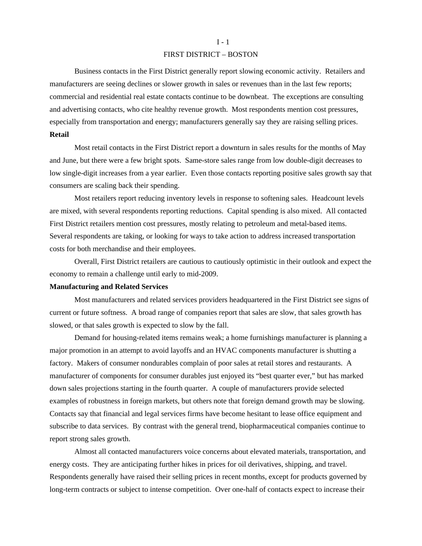## FIRST DISTRICT – BOSTON

Business contacts in the First District generally report slowing economic activity. Retailers and manufacturers are seeing declines or slower growth in sales or revenues than in the last few reports; commercial and residential real estate contacts continue to be downbeat. The exceptions are consulting and advertising contacts, who cite healthy revenue growth. Most respondents mention cost pressures, especially from transportation and energy; manufacturers generally say they are raising selling prices. **Retail** 

Most retail contacts in the First District report a downturn in sales results for the months of May and June, but there were a few bright spots. Same-store sales range from low double-digit decreases to low single-digit increases from a year earlier. Even those contacts reporting positive sales growth say that consumers are scaling back their spending.

Most retailers report reducing inventory levels in response to softening sales. Headcount levels are mixed, with several respondents reporting reductions. Capital spending is also mixed. All contacted First District retailers mention cost pressures, mostly relating to petroleum and metal-based items. Several respondents are taking, or looking for ways to take action to address increased transportation costs for both merchandise and their employees.

Overall, First District retailers are cautious to cautiously optimistic in their outlook and expect the economy to remain a challenge until early to mid-2009.

#### **Manufacturing and Related Services**

Most manufacturers and related services providers headquartered in the First District see signs of current or future softness. A broad range of companies report that sales are slow, that sales growth has slowed, or that sales growth is expected to slow by the fall.

Demand for housing-related items remains weak; a home furnishings manufacturer is planning a major promotion in an attempt to avoid layoffs and an HVAC components manufacturer is shutting a factory. Makers of consumer nondurables complain of poor sales at retail stores and restaurants. A manufacturer of components for consumer durables just enjoyed its "best quarter ever," but has marked down sales projections starting in the fourth quarter. A couple of manufacturers provide selected examples of robustness in foreign markets, but others note that foreign demand growth may be slowing. Contacts say that financial and legal services firms have become hesitant to lease office equipment and subscribe to data services. By contrast with the general trend, biopharmaceutical companies continue to report strong sales growth.

Almost all contacted manufacturers voice concerns about elevated materials, transportation, and energy costs. They are anticipating further hikes in prices for oil derivatives, shipping, and travel. Respondents generally have raised their selling prices in recent months, except for products governed by long-term contracts or subject to intense competition. Over one-half of contacts expect to increase their

## $I - 1$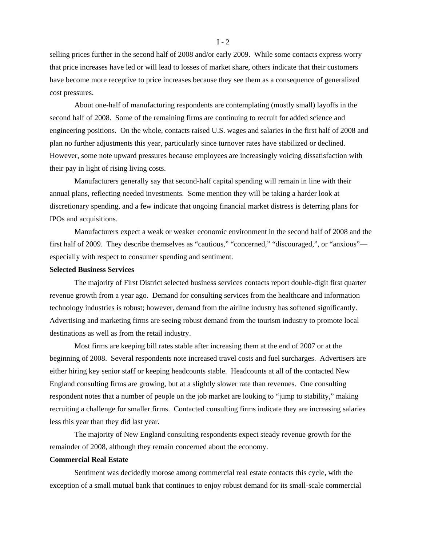selling prices further in the second half of 2008 and/or early 2009. While some contacts express worry that price increases have led or will lead to losses of market share, others indicate that their customers have become more receptive to price increases because they see them as a consequence of generalized cost pressures.

About one-half of manufacturing respondents are contemplating (mostly small) layoffs in the second half of 2008. Some of the remaining firms are continuing to recruit for added science and engineering positions. On the whole, contacts raised U.S. wages and salaries in the first half of 2008 and plan no further adjustments this year, particularly since turnover rates have stabilized or declined. However, some note upward pressures because employees are increasingly voicing dissatisfaction with their pay in light of rising living costs.

Manufacturers generally say that second-half capital spending will remain in line with their annual plans, reflecting needed investments. Some mention they will be taking a harder look at discretionary spending, and a few indicate that ongoing financial market distress is deterring plans for IPOs and acquisitions.

Manufacturers expect a weak or weaker economic environment in the second half of 2008 and the first half of 2009. They describe themselves as "cautious," "concerned," "discouraged,", or "anxious" especially with respect to consumer spending and sentiment.

#### **Selected Business Services**

The majority of First District selected business services contacts report double-digit first quarter revenue growth from a year ago. Demand for consulting services from the healthcare and information technology industries is robust; however, demand from the airline industry has softened significantly. Advertising and marketing firms are seeing robust demand from the tourism industry to promote local destinations as well as from the retail industry.

Most firms are keeping bill rates stable after increasing them at the end of 2007 or at the beginning of 2008. Several respondents note increased travel costs and fuel surcharges. Advertisers are either hiring key senior staff or keeping headcounts stable. Headcounts at all of the contacted New England consulting firms are growing, but at a slightly slower rate than revenues. One consulting respondent notes that a number of people on the job market are looking to "jump to stability," making recruiting a challenge for smaller firms. Contacted consulting firms indicate they are increasing salaries less this year than they did last year.

The majority of New England consulting respondents expect steady revenue growth for the remainder of 2008, although they remain concerned about the economy.

#### **Commercial Real Estate**

Sentiment was decidedly morose among commercial real estate contacts this cycle, with the exception of a small mutual bank that continues to enjoy robust demand for its small-scale commercial

 $I - 2$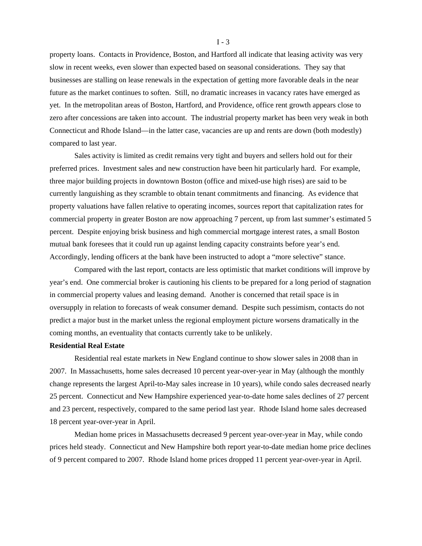property loans. Contacts in Providence, Boston, and Hartford all indicate that leasing activity was very slow in recent weeks, even slower than expected based on seasonal considerations. They say that businesses are stalling on lease renewals in the expectation of getting more favorable deals in the near future as the market continues to soften. Still, no dramatic increases in vacancy rates have emerged as yet. In the metropolitan areas of Boston, Hartford, and Providence, office rent growth appears close to zero after concessions are taken into account. The industrial property market has been very weak in both Connecticut and Rhode Island—in the latter case, vacancies are up and rents are down (both modestly) compared to last year.

Sales activity is limited as credit remains very tight and buyers and sellers hold out for their preferred prices. Investment sales and new construction have been hit particularly hard. For example, three major building projects in downtown Boston (office and mixed-use high rises) are said to be currently languishing as they scramble to obtain tenant commitments and financing. As evidence that property valuations have fallen relative to operating incomes, sources report that capitalization rates for commercial property in greater Boston are now approaching 7 percent, up from last summer's estimated 5 percent. Despite enjoying brisk business and high commercial mortgage interest rates, a small Boston mutual bank foresees that it could run up against lending capacity constraints before year's end. Accordingly, lending officers at the bank have been instructed to adopt a "more selective" stance.

Compared with the last report, contacts are less optimistic that market conditions will improve by year's end. One commercial broker is cautioning his clients to be prepared for a long period of stagnation in commercial property values and leasing demand. Another is concerned that retail space is in oversupply in relation to forecasts of weak consumer demand. Despite such pessimism, contacts do not predict a major bust in the market unless the regional employment picture worsens dramatically in the coming months, an eventuality that contacts currently take to be unlikely.

#### **Residential Real Estate**

Residential real estate markets in New England continue to show slower sales in 2008 than in 2007. In Massachusetts, home sales decreased 10 percent year-over-year in May (although the monthly change represents the largest April-to-May sales increase in 10 years), while condo sales decreased nearly 25 percent. Connecticut and New Hampshire experienced year-to-date home sales declines of 27 percent and 23 percent, respectively, compared to the same period last year. Rhode Island home sales decreased 18 percent year-over-year in April.

Median home prices in Massachusetts decreased 9 percent year-over-year in May, while condo prices held steady. Connecticut and New Hampshire both report year-to-date median home price declines of 9 percent compared to 2007. Rhode Island home prices dropped 11 percent year-over-year in April.

 $I - 3$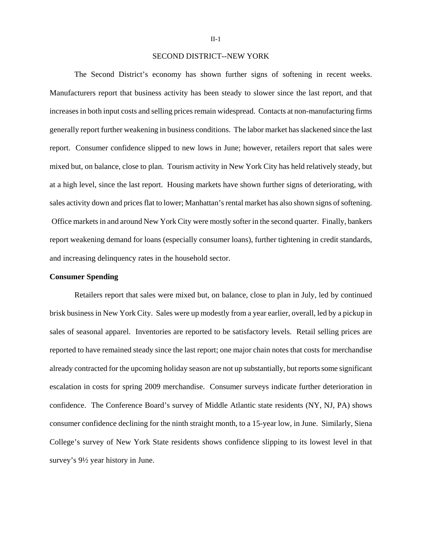SECOND DISTRICT--NEW YORK

The Second District's economy has shown further signs of softening in recent weeks. Manufacturers report that business activity has been steady to slower since the last report, and that increases in both input costs and selling prices remain widespread. Contacts at non-manufacturing firms generally report further weakening in business conditions. The labor market has slackened since the last report. Consumer confidence slipped to new lows in June; however, retailers report that sales were mixed but, on balance, close to plan. Tourism activity in New York City has held relatively steady, but at a high level, since the last report. Housing markets have shown further signs of deteriorating, with sales activity down and prices flat to lower; Manhattan's rental market has also shown signs of softening. Office markets in and around New York City were mostly softer in the second quarter. Finally, bankers report weakening demand for loans (especially consumer loans), further tightening in credit standards, and increasing delinquency rates in the household sector.

# **Consumer Spending**

Retailers report that sales were mixed but, on balance, close to plan in July, led by continued brisk business in New York City. Sales were up modestly from a year earlier, overall, led by a pickup in sales of seasonal apparel. Inventories are reported to be satisfactory levels. Retail selling prices are reported to have remained steady since the last report; one major chain notes that costs for merchandise already contracted for the upcoming holiday season are not up substantially, but reports some significant escalation in costs for spring 2009 merchandise. Consumer surveys indicate further deterioration in confidence. The Conference Board's survey of Middle Atlantic state residents (NY, NJ, PA) shows consumer confidence declining for the ninth straight month, to a 15-year low, in June. Similarly, Siena College's survey of New York State residents shows confidence slipping to its lowest level in that survey's 9½ year history in June.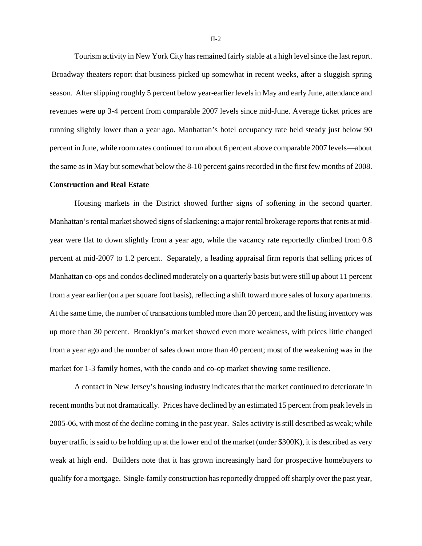Tourism activity in New York City has remained fairly stable at a high level since the last report. Broadway theaters report that business picked up somewhat in recent weeks, after a sluggish spring season. After slipping roughly 5 percent below year-earlier levels in May and early June, attendance and revenues were up 3-4 percent from comparable 2007 levels since mid-June. Average ticket prices are running slightly lower than a year ago. Manhattan's hotel occupancy rate held steady just below 90 percent in June, while room rates continued to run about 6 percent above comparable 2007 levels—about the same as in May but somewhat below the 8-10 percent gains recorded in the first few months of 2008.

## **Construction and Real Estate**

Housing markets in the District showed further signs of softening in the second quarter. Manhattan's rental market showed signs of slackening: a major rental brokerage reports that rents at midyear were flat to down slightly from a year ago, while the vacancy rate reportedly climbed from 0.8 percent at mid-2007 to 1.2 percent. Separately, a leading appraisal firm reports that selling prices of Manhattan co-ops and condos declined moderately on a quarterly basis but were still up about 11 percent from a year earlier (on a per square foot basis), reflecting a shift toward more sales of luxury apartments. At the same time, the number of transactions tumbled more than 20 percent, and the listing inventory was up more than 30 percent. Brooklyn's market showed even more weakness, with prices little changed from a year ago and the number of sales down more than 40 percent; most of the weakening was in the market for 1-3 family homes, with the condo and co-op market showing some resilience.

A contact in New Jersey's housing industry indicates that the market continued to deteriorate in recent months but not dramatically. Prices have declined by an estimated 15 percent from peak levels in 2005-06, with most of the decline coming in the past year. Sales activity is still described as weak; while buyer traffic is said to be holding up at the lower end of the market (under \$300K), it is described as very weak at high end. Builders note that it has grown increasingly hard for prospective homebuyers to qualify for a mortgage. Single-family construction has reportedly dropped off sharply over the past year,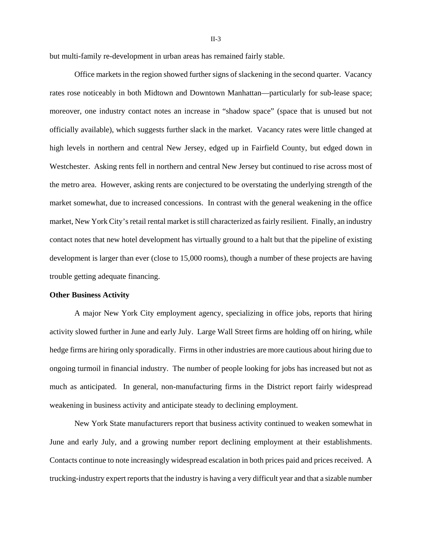but multi-family re-development in urban areas has remained fairly stable.

Office markets in the region showed further signs of slackening in the second quarter. Vacancy rates rose noticeably in both Midtown and Downtown Manhattan—particularly for sub-lease space; moreover, one industry contact notes an increase in "shadow space" (space that is unused but not officially available), which suggests further slack in the market. Vacancy rates were little changed at high levels in northern and central New Jersey, edged up in Fairfield County, but edged down in Westchester. Asking rents fell in northern and central New Jersey but continued to rise across most of the metro area. However, asking rents are conjectured to be overstating the underlying strength of the market somewhat, due to increased concessions. In contrast with the general weakening in the office market, New York City's retail rental market is still characterized as fairly resilient. Finally, an industry contact notes that new hotel development has virtually ground to a halt but that the pipeline of existing development is larger than ever (close to 15,000 rooms), though a number of these projects are having trouble getting adequate financing.

## **Other Business Activity**

A major New York City employment agency, specializing in office jobs, reports that hiring activity slowed further in June and early July. Large Wall Street firms are holding off on hiring, while hedge firms are hiring only sporadically. Firms in other industries are more cautious about hiring due to ongoing turmoil in financial industry. The number of people looking for jobs has increased but not as much as anticipated. In general, non-manufacturing firms in the District report fairly widespread weakening in business activity and anticipate steady to declining employment.

New York State manufacturers report that business activity continued to weaken somewhat in June and early July, and a growing number report declining employment at their establishments. Contacts continue to note increasingly widespread escalation in both prices paid and prices received. A trucking-industry expert reports that the industry is having a very difficult year and that a sizable number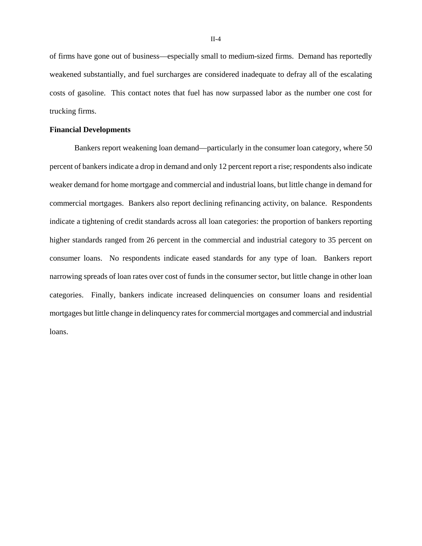of firms have gone out of business—especially small to medium-sized firms. Demand has reportedly weakened substantially, and fuel surcharges are considered inadequate to defray all of the escalating costs of gasoline. This contact notes that fuel has now surpassed labor as the number one cost for trucking firms.

## **Financial Developments**

Bankers report weakening loan demand—particularly in the consumer loan category, where 50 percent of bankers indicate a drop in demand and only 12 percent report a rise; respondents also indicate weaker demand for home mortgage and commercial and industrial loans, but little change in demand for commercial mortgages. Bankers also report declining refinancing activity, on balance. Respondents indicate a tightening of credit standards across all loan categories: the proportion of bankers reporting higher standards ranged from 26 percent in the commercial and industrial category to 35 percent on consumer loans. No respondents indicate eased standards for any type of loan. Bankers report narrowing spreads of loan rates over cost of funds in the consumer sector, but little change in other loan categories. Finally, bankers indicate increased delinquencies on consumer loans and residential mortgages but little change in delinquency rates for commercial mortgages and commercial and industrial loans.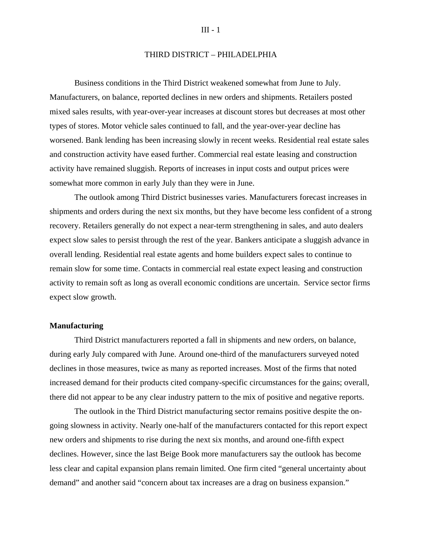III - 1

# THIRD DISTRICT – PHILADELPHIA

 Business conditions in the Third District weakened somewhat from June to July. Manufacturers, on balance, reported declines in new orders and shipments. Retailers posted mixed sales results, with year-over-year increases at discount stores but decreases at most other types of stores. Motor vehicle sales continued to fall, and the year-over-year decline has worsened. Bank lending has been increasing slowly in recent weeks. Residential real estate sales and construction activity have eased further. Commercial real estate leasing and construction activity have remained sluggish. Reports of increases in input costs and output prices were somewhat more common in early July than they were in June.

The outlook among Third District businesses varies. Manufacturers forecast increases in shipments and orders during the next six months, but they have become less confident of a strong recovery. Retailers generally do not expect a near-term strengthening in sales, and auto dealers expect slow sales to persist through the rest of the year. Bankers anticipate a sluggish advance in overall lending. Residential real estate agents and home builders expect sales to continue to remain slow for some time. Contacts in commercial real estate expect leasing and construction activity to remain soft as long as overall economic conditions are uncertain. Service sector firms expect slow growth.

# **Manufacturing**

Third District manufacturers reported a fall in shipments and new orders, on balance, during early July compared with June. Around one-third of the manufacturers surveyed noted declines in those measures, twice as many as reported increases. Most of the firms that noted increased demand for their products cited company-specific circumstances for the gains; overall, there did not appear to be any clear industry pattern to the mix of positive and negative reports.

The outlook in the Third District manufacturing sector remains positive despite the ongoing slowness in activity. Nearly one-half of the manufacturers contacted for this report expect new orders and shipments to rise during the next six months, and around one-fifth expect declines. However, since the last Beige Book more manufacturers say the outlook has become less clear and capital expansion plans remain limited. One firm cited "general uncertainty about demand" and another said "concern about tax increases are a drag on business expansion."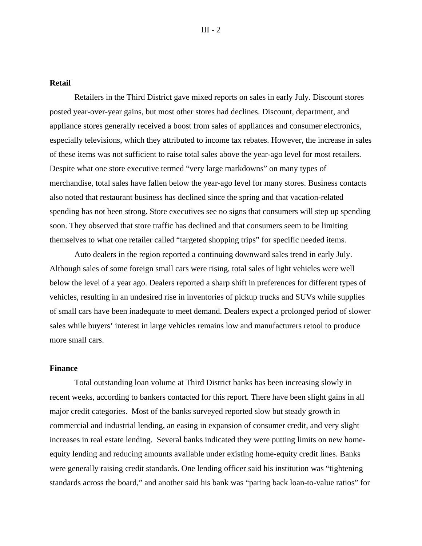# **Retail**

Retailers in the Third District gave mixed reports on sales in early July. Discount stores posted year-over-year gains, but most other stores had declines. Discount, department, and appliance stores generally received a boost from sales of appliances and consumer electronics, especially televisions, which they attributed to income tax rebates. However, the increase in sales of these items was not sufficient to raise total sales above the year-ago level for most retailers. Despite what one store executive termed "very large markdowns" on many types of merchandise, total sales have fallen below the year-ago level for many stores. Business contacts also noted that restaurant business has declined since the spring and that vacation-related spending has not been strong. Store executives see no signs that consumers will step up spending soon. They observed that store traffic has declined and that consumers seem to be limiting themselves to what one retailer called "targeted shopping trips" for specific needed items.

Auto dealers in the region reported a continuing downward sales trend in early July. Although sales of some foreign small cars were rising, total sales of light vehicles were well below the level of a year ago. Dealers reported a sharp shift in preferences for different types of vehicles, resulting in an undesired rise in inventories of pickup trucks and SUVs while supplies of small cars have been inadequate to meet demand. Dealers expect a prolonged period of slower sales while buyers' interest in large vehicles remains low and manufacturers retool to produce more small cars.

# **Finance**

Total outstanding loan volume at Third District banks has been increasing slowly in recent weeks, according to bankers contacted for this report. There have been slight gains in all major credit categories. Most of the banks surveyed reported slow but steady growth in commercial and industrial lending, an easing in expansion of consumer credit, and very slight increases in real estate lending. Several banks indicated they were putting limits on new homeequity lending and reducing amounts available under existing home-equity credit lines. Banks were generally raising credit standards. One lending officer said his institution was "tightening standards across the board," and another said his bank was "paring back loan-to-value ratios" for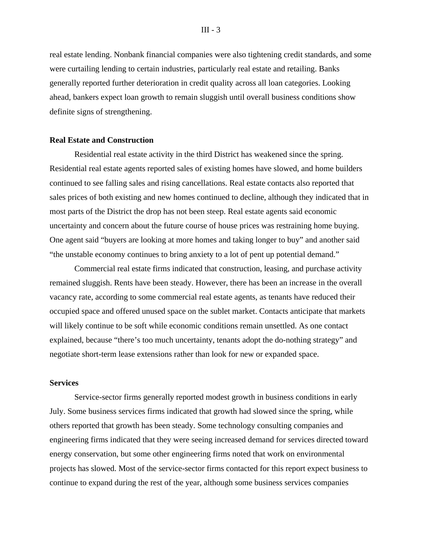real estate lending. Nonbank financial companies were also tightening credit standards, and some were curtailing lending to certain industries, particularly real estate and retailing. Banks generally reported further deterioration in credit quality across all loan categories. Looking ahead, bankers expect loan growth to remain sluggish until overall business conditions show definite signs of strengthening.

# **Real Estate and Construction**

Residential real estate activity in the third District has weakened since the spring. Residential real estate agents reported sales of existing homes have slowed, and home builders continued to see falling sales and rising cancellations. Real estate contacts also reported that sales prices of both existing and new homes continued to decline, although they indicated that in most parts of the District the drop has not been steep. Real estate agents said economic uncertainty and concern about the future course of house prices was restraining home buying. One agent said "buyers are looking at more homes and taking longer to buy" and another said "the unstable economy continues to bring anxiety to a lot of pent up potential demand."

Commercial real estate firms indicated that construction, leasing, and purchase activity remained sluggish. Rents have been steady. However, there has been an increase in the overall vacancy rate, according to some commercial real estate agents, as tenants have reduced their occupied space and offered unused space on the sublet market. Contacts anticipate that markets will likely continue to be soft while economic conditions remain unsettled. As one contact explained, because "there's too much uncertainty, tenants adopt the do-nothing strategy" and negotiate short-term lease extensions rather than look for new or expanded space.

# **Services**

Service-sector firms generally reported modest growth in business conditions in early July. Some business services firms indicated that growth had slowed since the spring, while others reported that growth has been steady. Some technology consulting companies and engineering firms indicated that they were seeing increased demand for services directed toward energy conservation, but some other engineering firms noted that work on environmental projects has slowed. Most of the service-sector firms contacted for this report expect business to continue to expand during the rest of the year, although some business services companies

III - 3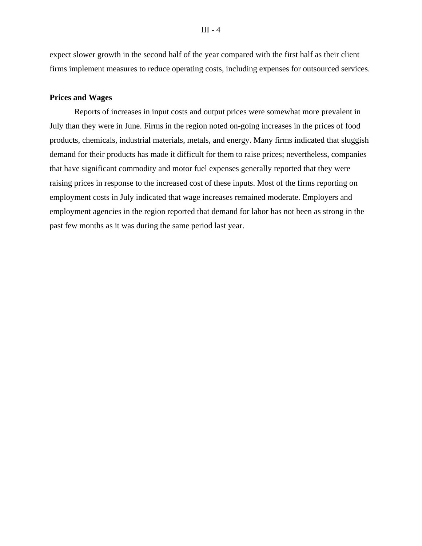expect slower growth in the second half of the year compared with the first half as their client firms implement measures to reduce operating costs, including expenses for outsourced services.

# **Prices and Wages**

Reports of increases in input costs and output prices were somewhat more prevalent in July than they were in June. Firms in the region noted on-going increases in the prices of food products, chemicals, industrial materials, metals, and energy. Many firms indicated that sluggish demand for their products has made it difficult for them to raise prices; nevertheless, companies that have significant commodity and motor fuel expenses generally reported that they were raising prices in response to the increased cost of these inputs. Most of the firms reporting on employment costs in July indicated that wage increases remained moderate. Employers and employment agencies in the region reported that demand for labor has not been as strong in the past few months as it was during the same period last year.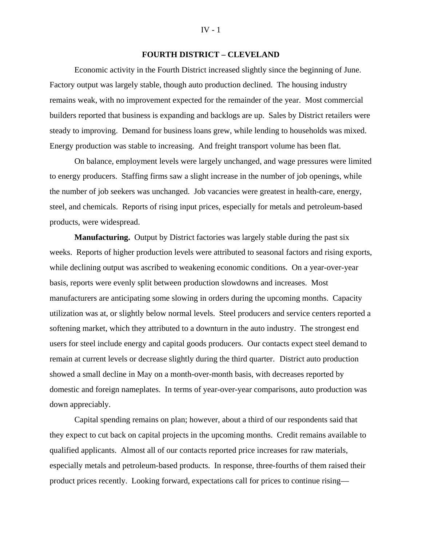## **FOURTH DISTRICT – CLEVELAND**

Economic activity in the Fourth District increased slightly since the beginning of June. Factory output was largely stable, though auto production declined. The housing industry remains weak, with no improvement expected for the remainder of the year. Most commercial builders reported that business is expanding and backlogs are up. Sales by District retailers were steady to improving. Demand for business loans grew, while lending to households was mixed. Energy production was stable to increasing. And freight transport volume has been flat.

On balance, employment levels were largely unchanged, and wage pressures were limited to energy producers. Staffing firms saw a slight increase in the number of job openings, while the number of job seekers was unchanged. Job vacancies were greatest in health-care, energy, steel, and chemicals. Reports of rising input prices, especially for metals and petroleum-based products, were widespread.

**Manufacturing.** Output by District factories was largely stable during the past six weeks. Reports of higher production levels were attributed to seasonal factors and rising exports, while declining output was ascribed to weakening economic conditions.On a year-over-year basis, reports were evenly split between production slowdowns and increases. Most manufacturers are anticipating some slowing in orders during the upcoming months. Capacity utilization was at, or slightly below normal levels. Steel producers and service centers reported a softening market, which they attributed to a downturn in the auto industry. The strongest end users for steel include energy and capital goods producers. Our contacts expect steel demand to remain at current levels or decrease slightly during the third quarter. District auto production showed a small decline in May on a month-over-month basis, with decreases reported by domestic and foreign nameplates. In terms of year-over-year comparisons, auto production was down appreciably.

Capital spending remains on plan; however, about a third of our respondents said that they expect to cut back on capital projects in the upcoming months. Credit remains available to qualified applicants. Almost all of our contacts reported price increases for raw materials, especially metals and petroleum-based products. In response, three-fourths of them raised their product prices recently. Looking forward, expectations call for prices to continue rising—

## IV - 1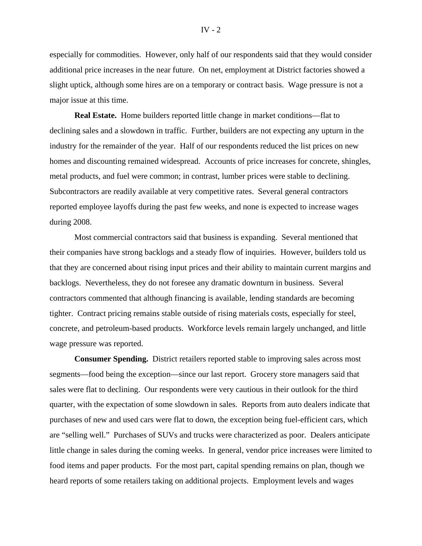especially for commodities. However, only half of our respondents said that they would consider additional price increases in the near future. On net, employment at District factories showed a slight uptick, although some hires are on a temporary or contract basis. Wage pressure is not a major issue at this time.

**Real Estate.** Home builders reported little change in market conditions—flat to declining sales and a slowdown in traffic. Further, builders are not expecting any upturn in the industry for the remainder of the year. Half of our respondents reduced the list prices on new homes and discounting remained widespread. Accounts of price increases for concrete, shingles, metal products, and fuel were common; in contrast, lumber prices were stable to declining. Subcontractors are readily available at very competitive rates. Several general contractors reported employee layoffs during the past few weeks, and none is expected to increase wages during 2008.

Most commercial contractors said that business is expanding. Several mentioned that their companies have strong backlogs and a steady flow of inquiries. However, builders told us that they are concerned about rising input prices and their ability to maintain current margins and backlogs. Nevertheless, they do not foresee any dramatic downturn in business. Several contractors commented that although financing is available, lending standards are becoming tighter. Contract pricing remains stable outside of rising materials costs, especially for steel, concrete, and petroleum-based products. Workforce levels remain largely unchanged, and little wage pressure was reported.

**Consumer Spending.** District retailers reported stable to improving sales across most segments—food being the exception—since our last report. Grocery store managers said that sales were flat to declining. Our respondents were very cautious in their outlook for the third quarter, with the expectation of some slowdown in sales. Reports from auto dealers indicate that purchases of new and used cars were flat to down, the exception being fuel-efficient cars, which are "selling well." Purchases of SUVs and trucks were characterized as poor. Dealers anticipate little change in sales during the coming weeks. In general, vendor price increases were limited to food items and paper products. For the most part, capital spending remains on plan, though we heard reports of some retailers taking on additional projects. Employment levels and wages

#### IV - 2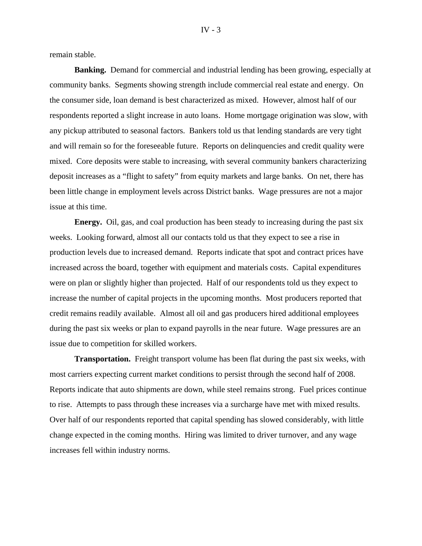remain stable.

**Banking.** Demand for commercial and industrial lending has been growing, especially at community banks. Segments showing strength include commercial real estate and energy. On the consumer side, loan demand is best characterized as mixed. However, almost half of our respondents reported a slight increase in auto loans. Home mortgage origination was slow, with any pickup attributed to seasonal factors. Bankers told us that lending standards are very tight and will remain so for the foreseeable future. Reports on delinquencies and credit quality were mixed. Core deposits were stable to increasing, with several community bankers characterizing deposit increases as a "flight to safety" from equity markets and large banks. On net, there has been little change in employment levels across District banks. Wage pressures are not a major issue at this time.

**Energy.** Oil, gas, and coal production has been steady to increasing during the past six weeks. Looking forward, almost all our contacts told us that they expect to see a rise in production levels due to increased demand. Reports indicate that spot and contract prices have increased across the board, together with equipment and materials costs. Capital expenditures were on plan or slightly higher than projected. Half of our respondents told us they expect to increase the number of capital projects in the upcoming months. Most producers reported that credit remains readily available. Almost all oil and gas producers hired additional employees during the past six weeks or plan to expand payrolls in the near future. Wage pressures are an issue due to competition for skilled workers.

**Transportation.** Freight transport volume has been flat during the past six weeks, with most carriers expecting current market conditions to persist through the second half of 2008. Reports indicate that auto shipments are down, while steel remains strong. Fuel prices continue to rise. Attempts to pass through these increases via a surcharge have met with mixed results. Over half of our respondents reported that capital spending has slowed considerably, with little change expected in the coming months. Hiring was limited to driver turnover, and any wage increases fell within industry norms.

IV - 3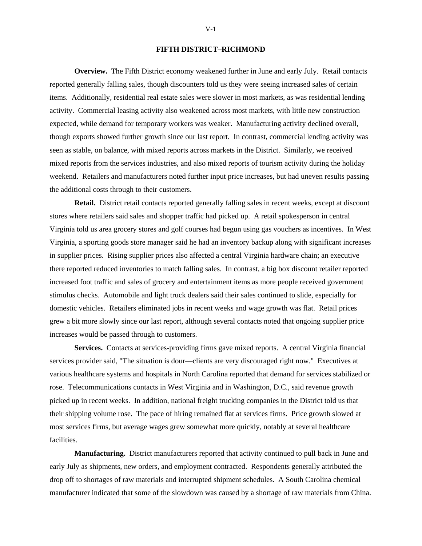## **FIFTH DISTRICT–RICHMOND**

 **Overview.** The Fifth District economy weakened further in June and early July. Retail contacts reported generally falling sales, though discounters told us they were seeing increased sales of certain items. Additionally, residential real estate sales were slower in most markets, as was residential lending activity. Commercial leasing activity also weakened across most markets, with little new construction expected, while demand for temporary workers was weaker. Manufacturing activity declined overall, though exports showed further growth since our last report. In contrast, commercial lending activity was seen as stable, on balance, with mixed reports across markets in the District. Similarly, we received mixed reports from the services industries, and also mixed reports of tourism activity during the holiday weekend. Retailers and manufacturers noted further input price increases, but had uneven results passing the additional costs through to their customers.

**Retail.** District retail contacts reported generally falling sales in recent weeks, except at discount stores where retailers said sales and shopper traffic had picked up. A retail spokesperson in central Virginia told us area grocery stores and golf courses had begun using gas vouchers as incentives. In West Virginia, a sporting goods store manager said he had an inventory backup along with significant increases in supplier prices. Rising supplier prices also affected a central Virginia hardware chain; an executive there reported reduced inventories to match falling sales. In contrast, a big box discount retailer reported increased foot traffic and sales of grocery and entertainment items as more people received government stimulus checks. Automobile and light truck dealers said their sales continued to slide, especially for domestic vehicles. Retailers eliminated jobs in recent weeks and wage growth was flat. Retail prices grew a bit more slowly since our last report, although several contacts noted that ongoing supplier price increases would be passed through to customers.

 **Services.** Contacts at services-providing firms gave mixed reports. A central Virginia financial services provider said, "The situation is dour—clients are very discouraged right now." Executives at various healthcare systems and hospitals in North Carolina reported that demand for services stabilized or rose. Telecommunications contacts in West Virginia and in Washington, D.C., said revenue growth picked up in recent weeks. In addition, national freight trucking companies in the District told us that their shipping volume rose. The pace of hiring remained flat at services firms. Price growth slowed at most services firms, but average wages grew somewhat more quickly, notably at several healthcare facilities.

 **Manufacturing.** District manufacturers reported that activity continued to pull back in June and early July as shipments, new orders, and employment contracted. Respondents generally attributed the drop off to shortages of raw materials and interrupted shipment schedules. A South Carolina chemical manufacturer indicated that some of the slowdown was caused by a shortage of raw materials from China.

V-1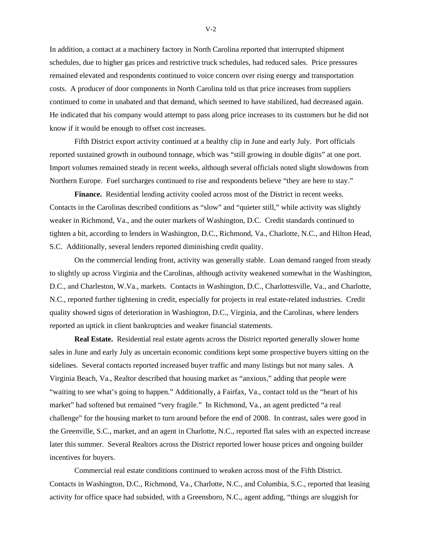In addition, a contact at a machinery factory in North Carolina reported that interrupted shipment schedules, due to higher gas prices and restrictive truck schedules, had reduced sales. Price pressures remained elevated and respondents continued to voice concern over rising energy and transportation costs. A producer of door components in North Carolina told us that price increases from suppliers continued to come in unabated and that demand, which seemed to have stabilized, had decreased again. He indicated that his company would attempt to pass along price increases to its customers but he did not know if it would be enough to offset cost increases.

 Fifth District export activity continued at a healthy clip in June and early July. Port officials reported sustained growth in outbound tonnage, which was "still growing in double digits" at one port. Import volumes remained steady in recent weeks, although several officials noted slight slowdowns from Northern Europe. Fuel surcharges continued to rise and respondents believe "they are here to stay."

**Finance.** Residential lending activity cooled across most of the District in recent weeks. Contacts in the Carolinas described conditions as "slow" and "quieter still," while activity was slightly weaker in Richmond, Va., and the outer markets of Washington, D.C. Credit standards continued to tighten a bit, according to lenders in Washington, D.C., Richmond, Va., Charlotte, N.C., and Hilton Head, S.C. Additionally, several lenders reported diminishing credit quality.

On the commercial lending front, activity was generally stable. Loan demand ranged from steady to slightly up across Virginia and the Carolinas, although activity weakened somewhat in the Washington, D.C., and Charleston, W.Va., markets. Contacts in Washington, D.C., Charlottesville, Va., and Charlotte, N.C., reported further tightening in credit, especially for projects in real estate-related industries. Credit quality showed signs of deterioration in Washington, D.C., Virginia, and the Carolinas, where lenders reported an uptick in client bankruptcies and weaker financial statements.

 **Real Estate.** Residential real estate agents across the District reported generally slower home sales in June and early July as uncertain economic conditions kept some prospective buyers sitting on the sidelines. Several contacts reported increased buyer traffic and many listings but not many sales. A Virginia Beach, Va., Realtor described that housing market as "anxious," adding that people were "waiting to see what's going to happen." Additionally, a Fairfax, Va., contact told us the "heart of his market" had softened but remained "very fragile." In Richmond, Va., an agent predicted "a real challenge" for the housing market to turn around before the end of 2008. In contrast, sales were good in the Greenville, S.C., market, and an agent in Charlotte, N.C., reported flat sales with an expected increase later this summer. Several Realtors across the District reported lower house prices and ongoing builder incentives for buyers.

Commercial real estate conditions continued to weaken across most of the Fifth District. Contacts in Washington, D.C., Richmond, Va., Charlotte, N.C., and Columbia, S.C., reported that leasing activity for office space had subsided, with a Greensboro, N.C., agent adding, "things are sluggish for

V-2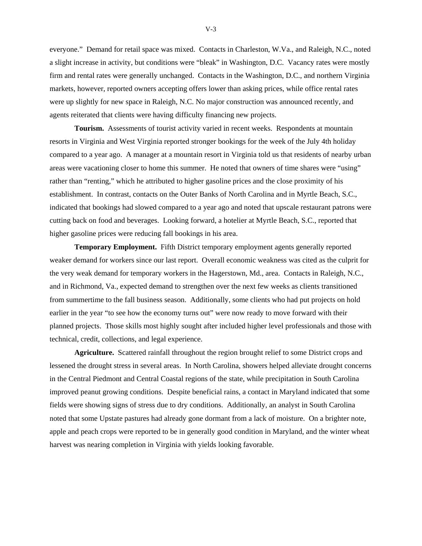everyone." Demand for retail space was mixed. Contacts in Charleston, W.Va., and Raleigh, N.C., noted a slight increase in activity, but conditions were "bleak" in Washington, D.C. Vacancy rates were mostly firm and rental rates were generally unchanged. Contacts in the Washington, D.C., and northern Virginia markets, however, reported owners accepting offers lower than asking prices, while office rental rates were up slightly for new space in Raleigh, N.C. No major construction was announced recently, and agents reiterated that clients were having difficulty financing new projects.

**Tourism.** Assessments of tourist activity varied in recent weeks. Respondents at mountain resorts in Virginia and West Virginia reported stronger bookings for the week of the July 4th holiday compared to a year ago. A manager at a mountain resort in Virginia told us that residents of nearby urban areas were vacationing closer to home this summer. He noted that owners of time shares were "using" rather than "renting," which he attributed to higher gasoline prices and the close proximity of his establishment. In contrast, contacts on the Outer Banks of North Carolina and in Myrtle Beach, S.C., indicated that bookings had slowed compared to a year ago and noted that upscale restaurant patrons were cutting back on food and beverages. Looking forward, a hotelier at Myrtle Beach, S.C., reported that higher gasoline prices were reducing fall bookings in his area.

 **Temporary Employment.** Fifth District temporary employment agents generally reported weaker demand for workers since our last report. Overall economic weakness was cited as the culprit for the very weak demand for temporary workers in the Hagerstown, Md., area. Contacts in Raleigh, N.C., and in Richmond, Va., expected demand to strengthen over the next few weeks as clients transitioned from summertime to the fall business season. Additionally, some clients who had put projects on hold earlier in the year "to see how the economy turns out" were now ready to move forward with their planned projects. Those skills most highly sought after included higher level professionals and those with technical, credit, collections, and legal experience.

 **Agriculture.** Scattered rainfall throughout the region brought relief to some District crops and lessened the drought stress in several areas. In North Carolina, showers helped alleviate drought concerns in the Central Piedmont and Central Coastal regions of the state, while precipitation in South Carolina improved peanut growing conditions. Despite beneficial rains, a contact in Maryland indicated that some fields were showing signs of stress due to dry conditions. Additionally, an analyst in South Carolina noted that some Upstate pastures had already gone dormant from a lack of moisture. On a brighter note, apple and peach crops were reported to be in generally good condition in Maryland, and the winter wheat harvest was nearing completion in Virginia with yields looking favorable.

V-3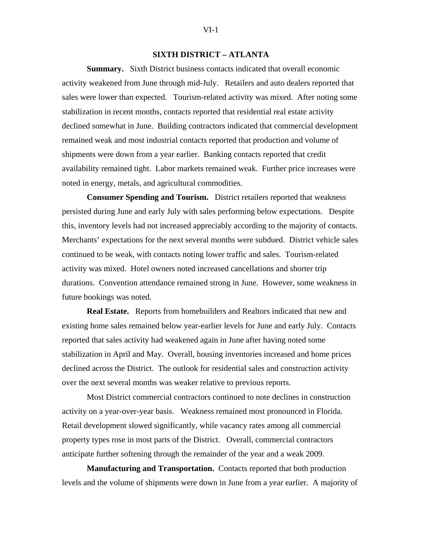# **SIXTH DISTRICT – ATLANTA**

**Summary.** Sixth District business contacts indicated that overall economic activity weakened from June through mid-July. Retailers and auto dealers reported that sales were lower than expected. Tourism-related activity was mixed. After noting some stabilization in recent months, contacts reported that residential real estate activity declined somewhat in June. Building contractors indicated that commercial development remained weak and most industrial contacts reported that production and volume of shipments were down from a year earlier. Banking contacts reported that credit availability remained tight. Labor markets remained weak. Further price increases were noted in energy, metals, and agricultural commodities.

 **Consumer Spending and Tourism.** District retailers reported that weakness persisted during June and early July with sales performing below expectations. Despite this, inventory levels had not increased appreciably according to the majority of contacts. Merchants' expectations for the next several months were subdued. District vehicle sales continued to be weak, with contacts noting lower traffic and sales. Tourism-related activity was mixed. Hotel owners noted increased cancellations and shorter trip durations. Convention attendance remained strong in June. However, some weakness in future bookings was noted.

 **Real Estate.** Reports from homebuilders and Realtors indicated that new and existing home sales remained below year-earlier levels for June and early July. Contacts reported that sales activity had weakened again in June after having noted some stabilization in April and May. Overall, housing inventories increased and home prices declined across the District. The outlook for residential sales and construction activity over the next several months was weaker relative to previous reports.

Most District commercial contractors continued to note declines in construction activity on a year-over-year basis. Weakness remained most pronounced in Florida. Retail development slowed significantly, while vacancy rates among all commercial property types rose in most parts of the District. Overall, commercial contractors anticipate further softening through the remainder of the year and a weak 2009.

 **Manufacturing and Transportation.** Contacts reported that both production levels and the volume of shipments were down in June from a year earlier. A majority of

#### VI-1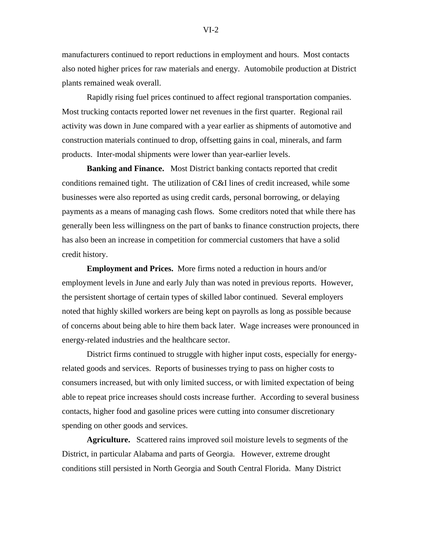manufacturers continued to report reductions in employment and hours. Most contacts also noted higher prices for raw materials and energy. Automobile production at District plants remained weak overall.

 Rapidly rising fuel prices continued to affect regional transportation companies. Most trucking contacts reported lower net revenues in the first quarter. Regional rail activity was down in June compared with a year earlier as shipments of automotive and construction materials continued to drop, offsetting gains in coal, minerals, and farm products. Inter-modal shipments were lower than year-earlier levels.

 **Banking and Finance.** Most District banking contacts reported that credit conditions remained tight. The utilization of C&I lines of credit increased, while some businesses were also reported as using credit cards, personal borrowing, or delaying payments as a means of managing cash flows. Some creditors noted that while there has generally been less willingness on the part of banks to finance construction projects, there has also been an increase in competition for commercial customers that have a solid credit history.

 **Employment and Prices.** More firms noted a reduction in hours and/or employment levels in June and early July than was noted in previous reports. However, the persistent shortage of certain types of skilled labor continued. Several employers noted that highly skilled workers are being kept on payrolls as long as possible because of concerns about being able to hire them back later. Wage increases were pronounced in energy-related industries and the healthcare sector.

 District firms continued to struggle with higher input costs, especially for energyrelated goods and services. Reports of businesses trying to pass on higher costs to consumers increased, but with only limited success, or with limited expectation of being able to repeat price increases should costs increase further. According to several business contacts, higher food and gasoline prices were cutting into consumer discretionary spending on other goods and services.

 **Agriculture.** Scattered rains improved soil moisture levels to segments of the District, in particular Alabama and parts of Georgia. However, extreme drought conditions still persisted in North Georgia and South Central Florida. Many District

VI-2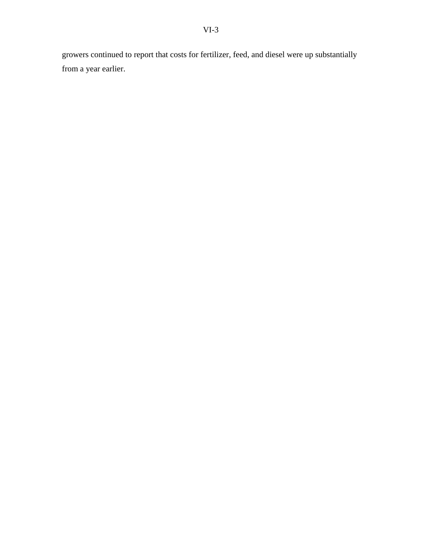growers continued to report that costs for fertilizer, feed, and diesel were up substantially from a year earlier.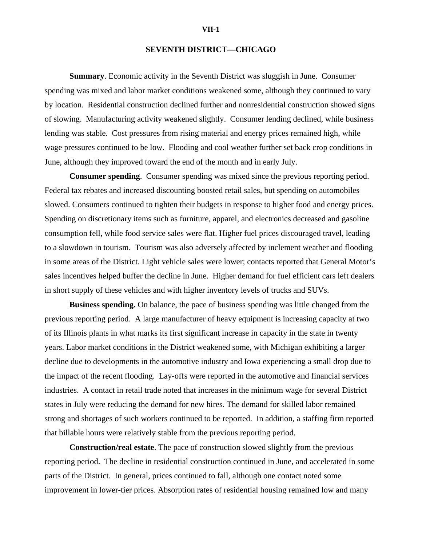# **SEVENTH DISTRICT—CHICAGO**

**Summary**. Economic activity in the Seventh District was sluggish in June. Consumer spending was mixed and labor market conditions weakened some, although they continued to vary by location. Residential construction declined further and nonresidential construction showed signs of slowing. Manufacturing activity weakened slightly. Consumer lending declined, while business lending was stable. Cost pressures from rising material and energy prices remained high, while wage pressures continued to be low. Flooding and cool weather further set back crop conditions in June, although they improved toward the end of the month and in early July.

**Consumer spending**. Consumer spending was mixed since the previous reporting period. Federal tax rebates and increased discounting boosted retail sales, but spending on automobiles slowed. Consumers continued to tighten their budgets in response to higher food and energy prices. Spending on discretionary items such as furniture, apparel, and electronics decreased and gasoline consumption fell, while food service sales were flat. Higher fuel prices discouraged travel, leading to a slowdown in tourism. Tourism was also adversely affected by inclement weather and flooding in some areas of the District. Light vehicle sales were lower; contacts reported that General Motor's sales incentives helped buffer the decline in June. Higher demand for fuel efficient cars left dealers in short supply of these vehicles and with higher inventory levels of trucks and SUVs.

**Business spending.** On balance, the pace of business spending was little changed from the previous reporting period. A large manufacturer of heavy equipment is increasing capacity at two of its Illinois plants in what marks its first significant increase in capacity in the state in twenty years. Labor market conditions in the District weakened some, with Michigan exhibiting a larger decline due to developments in the automotive industry and Iowa experiencing a small drop due to the impact of the recent flooding. Lay-offs were reported in the automotive and financial services industries. A contact in retail trade noted that increases in the minimum wage for several District states in July were reducing the demand for new hires. The demand for skilled labor remained strong and shortages of such workers continued to be reported. In addition, a staffing firm reported that billable hours were relatively stable from the previous reporting period.

**Construction/real estate**. The pace of construction slowed slightly from the previous reporting period. The decline in residential construction continued in June, and accelerated in some parts of the District. In general, prices continued to fall, although one contact noted some improvement in lower-tier prices. Absorption rates of residential housing remained low and many

#### **VII-1**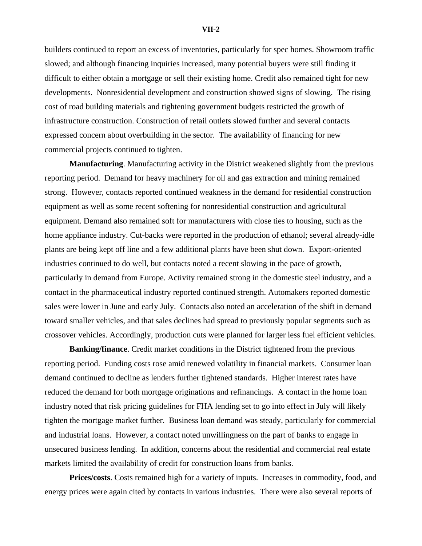#### **VII-2**

builders continued to report an excess of inventories, particularly for spec homes. Showroom traffic slowed; and although financing inquiries increased, many potential buyers were still finding it difficult to either obtain a mortgage or sell their existing home. Credit also remained tight for new developments. Nonresidential development and construction showed signs of slowing. The rising cost of road building materials and tightening government budgets restricted the growth of infrastructure construction. Construction of retail outlets slowed further and several contacts expressed concern about overbuilding in the sector. The availability of financing for new commercial projects continued to tighten.

**Manufacturing**. Manufacturing activity in the District weakened slightly from the previous reporting period. Demand for heavy machinery for oil and gas extraction and mining remained strong. However, contacts reported continued weakness in the demand for residential construction equipment as well as some recent softening for nonresidential construction and agricultural equipment. Demand also remained soft for manufacturers with close ties to housing, such as the home appliance industry. Cut-backs were reported in the production of ethanol; several already-idle plants are being kept off line and a few additional plants have been shut down. Export-oriented industries continued to do well, but contacts noted a recent slowing in the pace of growth, particularly in demand from Europe. Activity remained strong in the domestic steel industry, and a contact in the pharmaceutical industry reported continued strength. Automakers reported domestic sales were lower in June and early July. Contacts also noted an acceleration of the shift in demand toward smaller vehicles, and that sales declines had spread to previously popular segments such as crossover vehicles. Accordingly, production cuts were planned for larger less fuel efficient vehicles.

**Banking/finance**. Credit market conditions in the District tightened from the previous reporting period. Funding costs rose amid renewed volatility in financial markets. Consumer loan demand continued to decline as lenders further tightened standards. Higher interest rates have reduced the demand for both mortgage originations and refinancings. A contact in the home loan industry noted that risk pricing guidelines for FHA lending set to go into effect in July will likely tighten the mortgage market further. Business loan demand was steady, particularly for commercial and industrial loans. However, a contact noted unwillingness on the part of banks to engage in unsecured business lending. In addition, concerns about the residential and commercial real estate markets limited the availability of credit for construction loans from banks.

**Prices/costs**. Costs remained high for a variety of inputs. Increases in commodity, food, and energy prices were again cited by contacts in various industries. There were also several reports of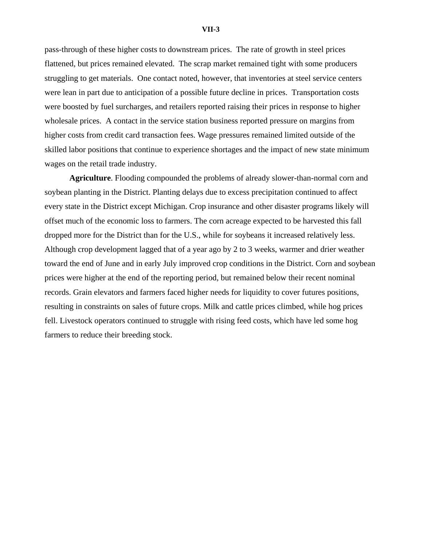#### **VII-3**

pass-through of these higher costs to downstream prices. The rate of growth in steel prices flattened, but prices remained elevated. The scrap market remained tight with some producers struggling to get materials. One contact noted, however, that inventories at steel service centers were lean in part due to anticipation of a possible future decline in prices. Transportation costs were boosted by fuel surcharges, and retailers reported raising their prices in response to higher wholesale prices. A contact in the service station business reported pressure on margins from higher costs from credit card transaction fees. Wage pressures remained limited outside of the skilled labor positions that continue to experience shortages and the impact of new state minimum wages on the retail trade industry.

**Agriculture**. Flooding compounded the problems of already slower-than-normal corn and soybean planting in the District. Planting delays due to excess precipitation continued to affect every state in the District except Michigan. Crop insurance and other disaster programs likely will offset much of the economic loss to farmers. The corn acreage expected to be harvested this fall dropped more for the District than for the U.S., while for soybeans it increased relatively less. Although crop development lagged that of a year ago by 2 to 3 weeks, warmer and drier weather toward the end of June and in early July improved crop conditions in the District. Corn and soybean prices were higher at the end of the reporting period, but remained below their recent nominal records. Grain elevators and farmers faced higher needs for liquidity to cover futures positions, resulting in constraints on sales of future crops. Milk and cattle prices climbed, while hog prices fell. Livestock operators continued to struggle with rising feed costs, which have led some hog farmers to reduce their breeding stock.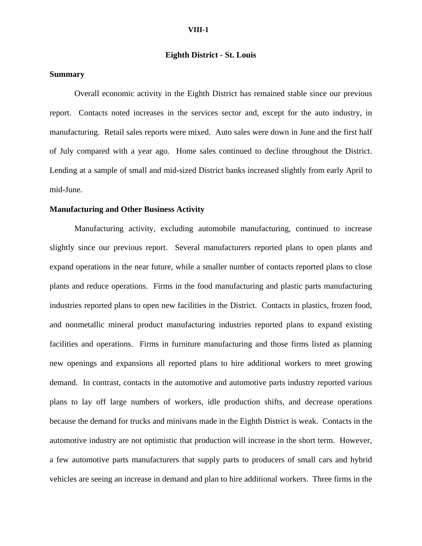#### **VIII-1**

# **Eighth District - St. Louis**

# **Summary**

Overall economic activity in the Eighth District has remained stable since our previous report. Contacts noted increases in the services sector and, except for the auto industry, in manufacturing. Retail sales reports were mixed. Auto sales were down in June and the first half of July compared with a year ago. Home sales continued to decline throughout the District. Lending at a sample of small and mid-sized District banks increased slightly from early April to mid-June.

# **Manufacturing and Other Business Activity**

Manufacturing activity, excluding automobile manufacturing, continued to increase slightly since our previous report. Several manufacturers reported plans to open plants and expand operations in the near future, while a smaller number of contacts reported plans to close plants and reduce operations. Firms in the food manufacturing and plastic parts manufacturing industries reported plans to open new facilities in the District. Contacts in plastics, frozen food, and nonmetallic mineral product manufacturing industries reported plans to expand existing facilities and operations. Firms in furniture manufacturing and those firms listed as planning new openings and expansions all reported plans to hire additional workers to meet growing demand. In contrast, contacts in the automotive and automotive parts industry reported various plans to lay off large numbers of workers, idle production shifts, and decrease operations because the demand for trucks and minivans made in the Eighth District is weak. Contacts in the automotive industry are not optimistic that production will increase in the short term. However, a few automotive parts manufacturers that supply parts to producers of small cars and hybrid vehicles are seeing an increase in demand and plan to hire additional workers. Three firms in the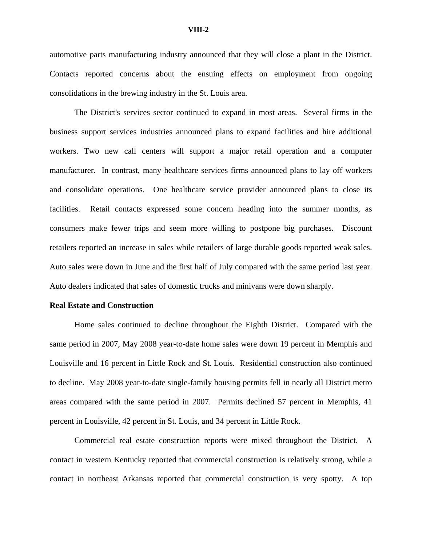automotive parts manufacturing industry announced that they will close a plant in the District. Contacts reported concerns about the ensuing effects on employment from ongoing consolidations in the brewing industry in the St. Louis area.

The District's services sector continued to expand in most areas. Several firms in the business support services industries announced plans to expand facilities and hire additional workers. Two new call centers will support a major retail operation and a computer manufacturer. In contrast, many healthcare services firms announced plans to lay off workers and consolidate operations. One healthcare service provider announced plans to close its facilities. Retail contacts expressed some concern heading into the summer months, as consumers make fewer trips and seem more willing to postpone big purchases. Discount retailers reported an increase in sales while retailers of large durable goods reported weak sales. Auto sales were down in June and the first half of July compared with the same period last year. Auto dealers indicated that sales of domestic trucks and minivans were down sharply.

## **Real Estate and Construction**

Home sales continued to decline throughout the Eighth District. Compared with the same period in 2007, May 2008 year-to-date home sales were down 19 percent in Memphis and Louisville and 16 percent in Little Rock and St. Louis. Residential construction also continued to decline. May 2008 year-to-date single-family housing permits fell in nearly all District metro areas compared with the same period in 2007. Permits declined 57 percent in Memphis, 41 percent in Louisville, 42 percent in St. Louis, and 34 percent in Little Rock.

Commercial real estate construction reports were mixed throughout the District. A contact in western Kentucky reported that commercial construction is relatively strong, while a contact in northeast Arkansas reported that commercial construction is very spotty. A top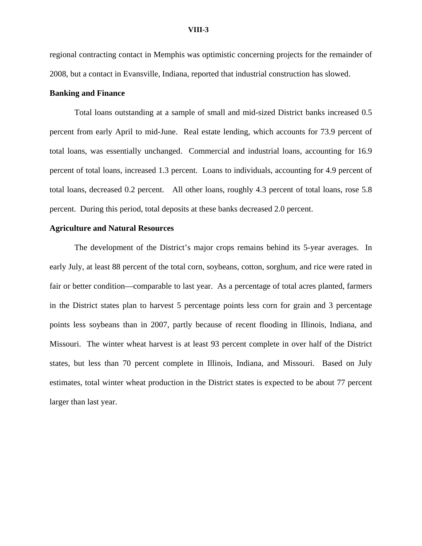regional contracting contact in Memphis was optimistic concerning projects for the remainder of 2008, but a contact in Evansville, Indiana, reported that industrial construction has slowed.

# **Banking and Finance**

Total loans outstanding at a sample of small and mid-sized District banks increased 0.5 percent from early April to mid-June. Real estate lending, which accounts for 73.9 percent of total loans, was essentially unchanged. Commercial and industrial loans, accounting for 16.9 percent of total loans, increased 1.3 percent. Loans to individuals, accounting for 4.9 percent of total loans, decreased 0.2 percent. All other loans, roughly 4.3 percent of total loans, rose 5.8 percent. During this period, total deposits at these banks decreased 2.0 percent.

# **Agriculture and Natural Resources**

The development of the District's major crops remains behind its 5-year averages. In early July, at least 88 percent of the total corn, soybeans, cotton, sorghum, and rice were rated in fair or better condition—comparable to last year. As a percentage of total acres planted, farmers in the District states plan to harvest 5 percentage points less corn for grain and 3 percentage points less soybeans than in 2007, partly because of recent flooding in Illinois, Indiana, and Missouri. The winter wheat harvest is at least 93 percent complete in over half of the District states, but less than 70 percent complete in Illinois, Indiana, and Missouri. Based on July estimates, total winter wheat production in the District states is expected to be about 77 percent larger than last year.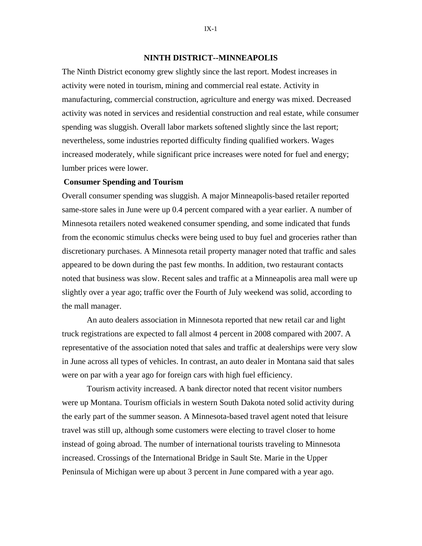# **NINTH DISTRICT--MINNEAPOLIS**

The Ninth District economy grew slightly since the last report. Modest increases in activity were noted in tourism, mining and commercial real estate. Activity in manufacturing, commercial construction, agriculture and energy was mixed. Decreased activity was noted in services and residential construction and real estate, while consumer spending was sluggish. Overall labor markets softened slightly since the last report; nevertheless, some industries reported difficulty finding qualified workers. Wages increased moderately, while significant price increases were noted for fuel and energy; lumber prices were lower.

# **Consumer Spending and Tourism**

Overall consumer spending was sluggish. A major Minneapolis-based retailer reported same-store sales in June were up 0.4 percent compared with a year earlier. A number of Minnesota retailers noted weakened consumer spending, and some indicated that funds from the economic stimulus checks were being used to buy fuel and groceries rather than discretionary purchases. A Minnesota retail property manager noted that traffic and sales appeared to be down during the past few months. In addition, two restaurant contacts noted that business was slow. Recent sales and traffic at a Minneapolis area mall were up slightly over a year ago; traffic over the Fourth of July weekend was solid, according to the mall manager.

An auto dealers association in Minnesota reported that new retail car and light truck registrations are expected to fall almost 4 percent in 2008 compared with 2007. A representative of the association noted that sales and traffic at dealerships were very slow in June across all types of vehicles. In contrast, an auto dealer in Montana said that sales were on par with a year ago for foreign cars with high fuel efficiency.

Tourism activity increased. A bank director noted that recent visitor numbers were up Montana. Tourism officials in western South Dakota noted solid activity during the early part of the summer season. A Minnesota-based travel agent noted that leisure travel was still up, although some customers were electing to travel closer to home instead of going abroad. The number of international tourists traveling to Minnesota increased. Crossings of the International Bridge in Sault Ste. Marie in the Upper Peninsula of Michigan were up about 3 percent in June compared with a year ago.

IX-1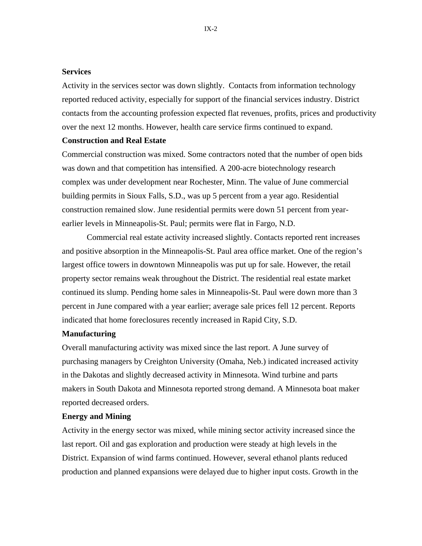# **Services**

Activity in the services sector was down slightly. Contacts from information technology reported reduced activity, especially for support of the financial services industry. District contacts from the accounting profession expected flat revenues, profits, prices and productivity over the next 12 months. However, health care service firms continued to expand.

# **Construction and Real Estate**

Commercial construction was mixed. Some contractors noted that the number of open bids was down and that competition has intensified. A 200-acre biotechnology research complex was under development near Rochester, Minn. The value of June commercial building permits in Sioux Falls, S.D., was up 5 percent from a year ago. Residential construction remained slow. June residential permits were down 51 percent from yearearlier levels in Minneapolis-St. Paul; permits were flat in Fargo, N.D.

 Commercial real estate activity increased slightly. Contacts reported rent increases and positive absorption in the Minneapolis-St. Paul area office market. One of the region's largest office towers in downtown Minneapolis was put up for sale. However, the retail property sector remains weak throughout the District. The residential real estate market continued its slump. Pending home sales in Minneapolis-St. Paul were down more than 3 percent in June compared with a year earlier; average sale prices fell 12 percent. Reports indicated that home foreclosures recently increased in Rapid City, S.D.

# **Manufacturing**

Overall manufacturing activity was mixed since the last report. A June survey of purchasing managers by Creighton University (Omaha, Neb.) indicated increased activity in the Dakotas and slightly decreased activity in Minnesota. Wind turbine and parts makers in South Dakota and Minnesota reported strong demand. A Minnesota boat maker reported decreased orders.

# **Energy and Mining**

Activity in the energy sector was mixed, while mining sector activity increased since the last report. Oil and gas exploration and production were steady at high levels in the District. Expansion of wind farms continued. However, several ethanol plants reduced production and planned expansions were delayed due to higher input costs. Growth in the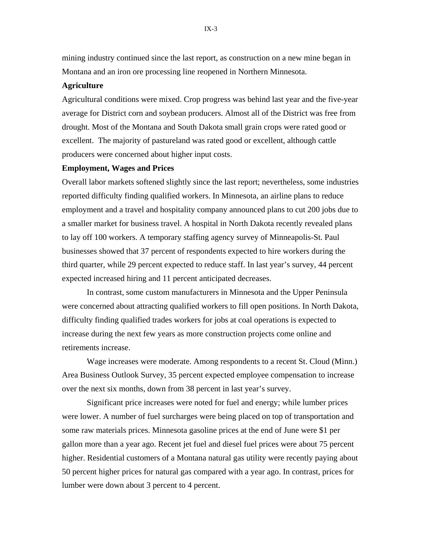mining industry continued since the last report, as construction on a new mine began in Montana and an iron ore processing line reopened in Northern Minnesota.

## **Agriculture**

Agricultural conditions were mixed. Crop progress was behind last year and the five-year average for District corn and soybean producers. Almost all of the District was free from drought. Most of the Montana and South Dakota small grain crops were rated good or excellent. The majority of pastureland was rated good or excellent, although cattle producers were concerned about higher input costs.

# **Employment, Wages and Prices**

Overall labor markets softened slightly since the last report; nevertheless, some industries reported difficulty finding qualified workers. In Minnesota, an airline plans to reduce employment and a travel and hospitality company announced plans to cut 200 jobs due to a smaller market for business travel. A hospital in North Dakota recently revealed plans to lay off 100 workers. A temporary staffing agency survey of Minneapolis-St. Paul businesses showed that 37 percent of respondents expected to hire workers during the third quarter, while 29 percent expected to reduce staff. In last year's survey, 44 percent expected increased hiring and 11 percent anticipated decreases.

In contrast, some custom manufacturers in Minnesota and the Upper Peninsula were concerned about attracting qualified workers to fill open positions. In North Dakota, difficulty finding qualified trades workers for jobs at coal operations is expected to increase during the next few years as more construction projects come online and retirements increase.

Wage increases were moderate. Among respondents to a recent St. Cloud (Minn.) Area Business Outlook Survey, 35 percent expected employee compensation to increase over the next six months, down from 38 percent in last year's survey.

Significant price increases were noted for fuel and energy; while lumber prices were lower. A number of fuel surcharges were being placed on top of transportation and some raw materials prices. Minnesota gasoline prices at the end of June were \$1 per gallon more than a year ago. Recent jet fuel and diesel fuel prices were about 75 percent higher. Residential customers of a Montana natural gas utility were recently paying about 50 percent higher prices for natural gas compared with a year ago. In contrast, prices for lumber were down about 3 percent to 4 percent.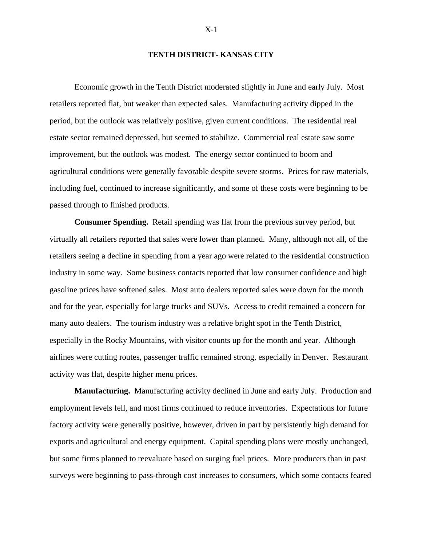# **TENTH DISTRICT- KANSAS CITY**

 Economic growth in the Tenth District moderated slightly in June and early July. Most retailers reported flat, but weaker than expected sales. Manufacturing activity dipped in the period, but the outlook was relatively positive, given current conditions. The residential real estate sector remained depressed, but seemed to stabilize. Commercial real estate saw some improvement, but the outlook was modest. The energy sector continued to boom and agricultural conditions were generally favorable despite severe storms. Prices for raw materials, including fuel, continued to increase significantly, and some of these costs were beginning to be passed through to finished products.

 **Consumer Spending.** Retail spending was flat from the previous survey period, but virtually all retailers reported that sales were lower than planned. Many, although not all, of the retailers seeing a decline in spending from a year ago were related to the residential construction industry in some way. Some business contacts reported that low consumer confidence and high gasoline prices have softened sales. Most auto dealers reported sales were down for the month and for the year, especially for large trucks and SUVs. Access to credit remained a concern for many auto dealers. The tourism industry was a relative bright spot in the Tenth District, especially in the Rocky Mountains, with visitor counts up for the month and year. Although airlines were cutting routes, passenger traffic remained strong, especially in Denver. Restaurant activity was flat, despite higher menu prices.

 **Manufacturing.** Manufacturing activity declined in June and early July. Production and employment levels fell, and most firms continued to reduce inventories. Expectations for future factory activity were generally positive, however, driven in part by persistently high demand for exports and agricultural and energy equipment. Capital spending plans were mostly unchanged, but some firms planned to reevaluate based on surging fuel prices. More producers than in past surveys were beginning to pass-through cost increases to consumers, which some contacts feared

X-1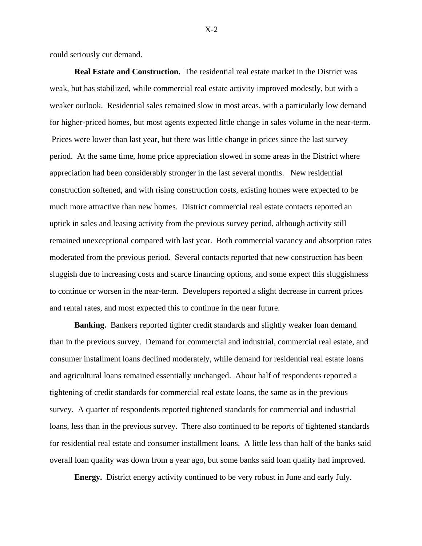could seriously cut demand.

 **Real Estate and Construction.** The residential real estate market in the District was weak, but has stabilized, while commercial real estate activity improved modestly, but with a weaker outlook. Residential sales remained slow in most areas, with a particularly low demand for higher-priced homes, but most agents expected little change in sales volume in the near-term. Prices were lower than last year, but there was little change in prices since the last survey period. At the same time, home price appreciation slowed in some areas in the District where appreciation had been considerably stronger in the last several months. New residential construction softened, and with rising construction costs, existing homes were expected to be much more attractive than new homes. District commercial real estate contacts reported an uptick in sales and leasing activity from the previous survey period, although activity still remained unexceptional compared with last year. Both commercial vacancy and absorption rates moderated from the previous period. Several contacts reported that new construction has been sluggish due to increasing costs and scarce financing options, and some expect this sluggishness to continue or worsen in the near-term. Developers reported a slight decrease in current prices and rental rates, and most expected this to continue in the near future.

 **Banking.** Bankers reported tighter credit standards and slightly weaker loan demand than in the previous survey. Demand for commercial and industrial, commercial real estate, and consumer installment loans declined moderately, while demand for residential real estate loans and agricultural loans remained essentially unchanged. About half of respondents reported a tightening of credit standards for commercial real estate loans, the same as in the previous survey. A quarter of respondents reported tightened standards for commercial and industrial loans, less than in the previous survey. There also continued to be reports of tightened standards for residential real estate and consumer installment loans. A little less than half of the banks said overall loan quality was down from a year ago, but some banks said loan quality had improved.

 **Energy.** District energy activity continued to be very robust in June and early July.

X-2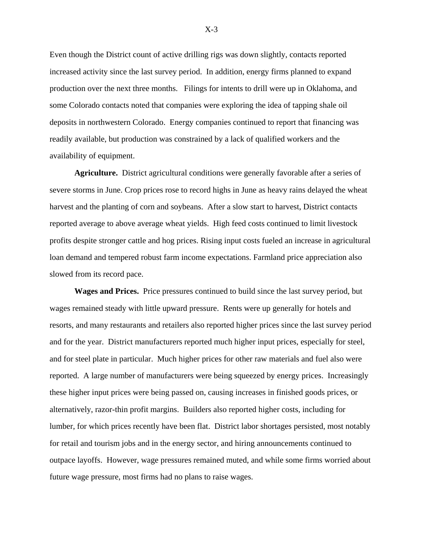Even though the District count of active drilling rigs was down slightly, contacts reported increased activity since the last survey period. In addition, energy firms planned to expand production over the next three months. Filings for intents to drill were up in Oklahoma, and some Colorado contacts noted that companies were exploring the idea of tapping shale oil deposits in northwestern Colorado. Energy companies continued to report that financing was readily available, but production was constrained by a lack of qualified workers and the availability of equipment.

 **Agriculture.** District agricultural conditions were generally favorable after a series of severe storms in June. Crop prices rose to record highs in June as heavy rains delayed the wheat harvest and the planting of corn and soybeans. After a slow start to harvest, District contacts reported average to above average wheat yields. High feed costs continued to limit livestock profits despite stronger cattle and hog prices. Rising input costs fueled an increase in agricultural loan demand and tempered robust farm income expectations. Farmland price appreciation also slowed from its record pace.

 **Wages and Prices.** Price pressures continued to build since the last survey period, but wages remained steady with little upward pressure. Rents were up generally for hotels and resorts, and many restaurants and retailers also reported higher prices since the last survey period and for the year. District manufacturers reported much higher input prices, especially for steel, and for steel plate in particular. Much higher prices for other raw materials and fuel also were reported. A large number of manufacturers were being squeezed by energy prices. Increasingly these higher input prices were being passed on, causing increases in finished goods prices, or alternatively, razor-thin profit margins. Builders also reported higher costs, including for lumber, for which prices recently have been flat. District labor shortages persisted, most notably for retail and tourism jobs and in the energy sector, and hiring announcements continued to outpace layoffs. However, wage pressures remained muted, and while some firms worried about future wage pressure, most firms had no plans to raise wages.

X-3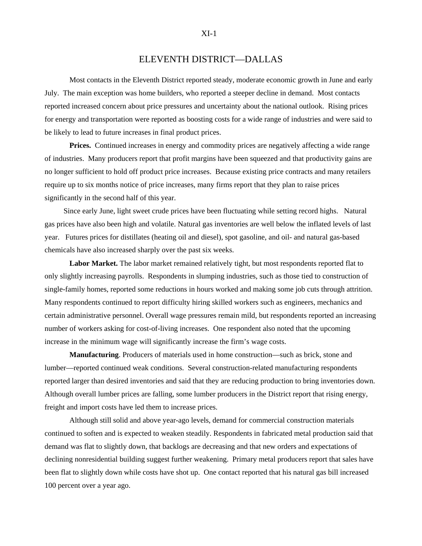# ELEVENTH DISTRICT—DALLAS

Most contacts in the Eleventh District reported steady, moderate economic growth in June and early July. The main exception was home builders, who reported a steeper decline in demand. Most contacts reported increased concern about price pressures and uncertainty about the national outlook. Rising prices for energy and transportation were reported as boosting costs for a wide range of industries and were said to be likely to lead to future increases in final product prices.

**Prices.** Continued increases in energy and commodity prices are negatively affecting a wide range of industries. Many producers report that profit margins have been squeezed and that productivity gains are no longer sufficient to hold off product price increases. Because existing price contracts and many retailers require up to six months notice of price increases, many firms report that they plan to raise prices significantly in the second half of this year.

 Since early June, light sweet crude prices have been fluctuating while setting record highs. Natural gas prices have also been high and volatile. Natural gas inventories are well below the inflated levels of last year. Futures prices for distillates (heating oil and diesel), spot gasoline, and oil- and natural gas-based chemicals have also increased sharply over the past six weeks.

 **Labor Market.** The labor market remained relatively tight, but most respondents reported flat to only slightly increasing payrolls. Respondents in slumping industries, such as those tied to construction of single-family homes, reported some reductions in hours worked and making some job cuts through attrition. Many respondents continued to report difficulty hiring skilled workers such as engineers, mechanics and certain administrative personnel. Overall wage pressures remain mild, but respondents reported an increasing number of workers asking for cost-of-living increases. One respondent also noted that the upcoming increase in the minimum wage will significantly increase the firm's wage costs.

**Manufacturing**. Producers of materials used in home construction—such as brick, stone and lumber—reported continued weak conditions. Several construction-related manufacturing respondents reported larger than desired inventories and said that they are reducing production to bring inventories down. Although overall lumber prices are falling, some lumber producers in the District report that rising energy, freight and import costs have led them to increase prices.

Although still solid and above year-ago levels, demand for commercial construction materials continued to soften and is expected to weaken steadily. Respondents in fabricated metal production said that demand was flat to slightly down, that backlogs are decreasing and that new orders and expectations of declining nonresidential building suggest further weakening. Primary metal producers report that sales have been flat to slightly down while costs have shot up. One contact reported that his natural gas bill increased 100 percent over a year ago.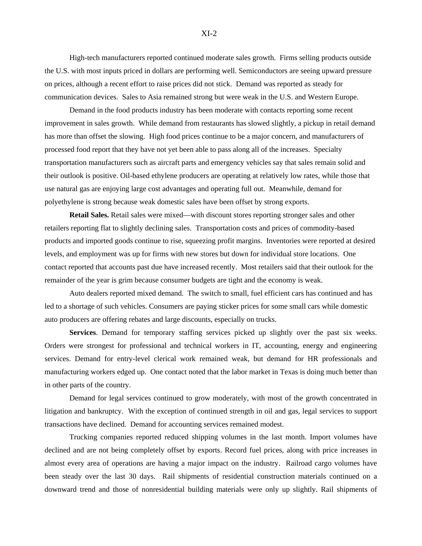High-tech manufacturers reported continued moderate sales growth. Firms selling products outside the U.S. with most inputs priced in dollars are performing well. Semiconductors are seeing upward pressure on prices, although a recent effort to raise prices did not stick. Demand was reported as steady for communication devices. Sales to Asia remained strong but were weak in the U.S. and Western Europe.

Demand in the food products industry has been moderate with contacts reporting some recent improvement in sales growth. While demand from restaurants has slowed slightly, a pickup in retail demand has more than offset the slowing. High food prices continue to be a major concern, and manufacturers of processed food report that they have not yet been able to pass along all of the increases. Specialty transportation manufacturers such as aircraft parts and emergency vehicles say that sales remain solid and their outlook is positive. Oil-based ethylene producers are operating at relatively low rates, while those that use natural gas are enjoying large cost advantages and operating full out. Meanwhile, demand for polyethylene is strong because weak domestic sales have been offset by strong exports.

**Retail Sales.** Retail sales were mixed—with discount stores reporting stronger sales and other retailers reporting flat to slightly declining sales. Transportation costs and prices of commodity-based products and imported goods continue to rise, squeezing profit margins. Inventories were reported at desired levels, and employment was up for firms with new stores but down for individual store locations. One contact reported that accounts past due have increased recently. Most retailers said that their outlook for the remainder of the year is grim because consumer budgets are tight and the economy is weak.

 Auto dealers reported mixed demand. The switch to small, fuel efficient cars has continued and has led to a shortage of such vehicles. Consumers are paying sticker prices for some small cars while domestic auto producers are offering rebates and large discounts, especially on trucks.

**Services**. Demand for temporary staffing services picked up slightly over the past six weeks. Orders were strongest for professional and technical workers in IT, accounting, energy and engineering services. Demand for entry-level clerical work remained weak, but demand for HR professionals and manufacturing workers edged up. One contact noted that the labor market in Texas is doing much better than in other parts of the country.

 Demand for legal services continued to grow moderately, with most of the growth concentrated in litigation and bankruptcy. With the exception of continued strength in oil and gas, legal services to support transactions have declined. Demand for accounting services remained modest.

 Trucking companies reported reduced shipping volumes in the last month. Import volumes have declined and are not being completely offset by exports. Record fuel prices, along with price increases in almost every area of operations are having a major impact on the industry. Railroad cargo volumes have been steady over the last 30 days. Rail shipments of residential construction materials continued on a downward trend and those of nonresidential building materials were only up slightly. Rail shipments of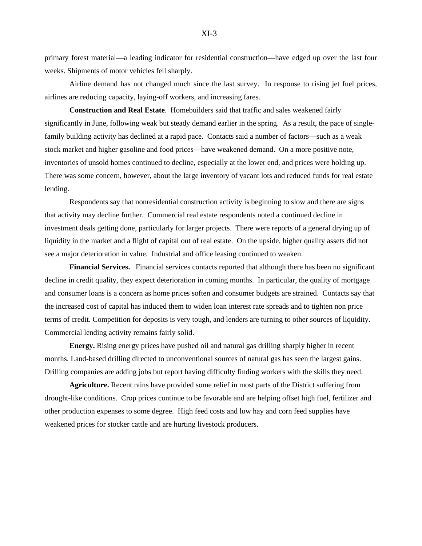primary forest material—a leading indicator for residential construction—have edged up over the last four weeks. Shipments of motor vehicles fell sharply.

 Airline demand has not changed much since the last survey. In response to rising jet fuel prices, airlines are reducing capacity, laying-off workers, and increasing fares.

**Construction and Real Estate**. Homebuilders said that traffic and sales weakened fairly significantly in June, following weak but steady demand earlier in the spring. As a result, the pace of singlefamily building activity has declined at a rapid pace. Contacts said a number of factors—such as a weak stock market and higher gasoline and food prices—have weakened demand. On a more positive note, inventories of unsold homes continued to decline, especially at the lower end, and prices were holding up. There was some concern, however, about the large inventory of vacant lots and reduced funds for real estate lending.

Respondents say that nonresidential construction activity is beginning to slow and there are signs that activity may decline further. Commercial real estate respondents noted a continued decline in investment deals getting done, particularly for larger projects. There were reports of a general drying up of liquidity in the market and a flight of capital out of real estate. On the upside, higher quality assets did not see a major deterioration in value. Industrial and office leasing continued to weaken.

**Financial Services.** Financial services contacts reported that although there has been no significant decline in credit quality, they expect deterioration in coming months. In particular, the quality of mortgage and consumer loans is a concern as home prices soften and consumer budgets are strained. Contacts say that the increased cost of capital has induced them to widen loan interest rate spreads and to tighten non price terms of credit. Competition for deposits is very tough, and lenders are turning to other sources of liquidity. Commercial lending activity remains fairly solid.

**Energy.** Rising energy prices have pushed oil and natural gas drilling sharply higher in recent months. Land-based drilling directed to unconventional sources of natural gas has seen the largest gains. Drilling companies are adding jobs but report having difficulty finding workers with the skills they need.

**Agriculture.** Recent rains have provided some relief in most parts of the District suffering from drought-like conditions. Crop prices continue to be favorable and are helping offset high fuel, fertilizer and other production expenses to some degree. High feed costs and low hay and corn feed supplies have weakened prices for stocker cattle and are hurting livestock producers.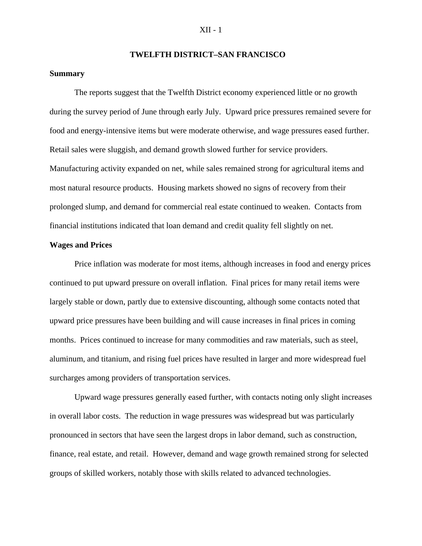# XII - 1

# **TWELFTH DISTRICT–SAN FRANCISCO**

# **Summary**

The reports suggest that the Twelfth District economy experienced little or no growth during the survey period of June through early July. Upward price pressures remained severe for food and energy-intensive items but were moderate otherwise, and wage pressures eased further. Retail sales were sluggish, and demand growth slowed further for service providers. Manufacturing activity expanded on net, while sales remained strong for agricultural items and most natural resource products. Housing markets showed no signs of recovery from their prolonged slump, and demand for commercial real estate continued to weaken. Contacts from financial institutions indicated that loan demand and credit quality fell slightly on net.

# **Wages and Prices**

Price inflation was moderate for most items, although increases in food and energy prices continued to put upward pressure on overall inflation. Final prices for many retail items were largely stable or down, partly due to extensive discounting, although some contacts noted that upward price pressures have been building and will cause increases in final prices in coming months. Prices continued to increase for many commodities and raw materials, such as steel, aluminum, and titanium, and rising fuel prices have resulted in larger and more widespread fuel surcharges among providers of transportation services.

 Upward wage pressures generally eased further, with contacts noting only slight increases in overall labor costs. The reduction in wage pressures was widespread but was particularly pronounced in sectors that have seen the largest drops in labor demand, such as construction, finance, real estate, and retail. However, demand and wage growth remained strong for selected groups of skilled workers, notably those with skills related to advanced technologies.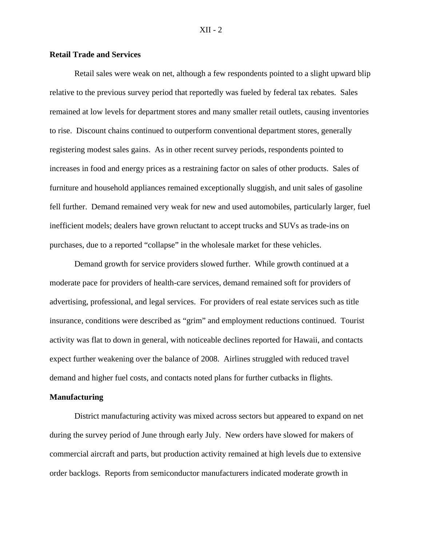XII - 2

# **Retail Trade and Services**

 Retail sales were weak on net, although a few respondents pointed to a slight upward blip relative to the previous survey period that reportedly was fueled by federal tax rebates. Sales remained at low levels for department stores and many smaller retail outlets, causing inventories to rise. Discount chains continued to outperform conventional department stores, generally registering modest sales gains. As in other recent survey periods, respondents pointed to increases in food and energy prices as a restraining factor on sales of other products. Sales of furniture and household appliances remained exceptionally sluggish, and unit sales of gasoline fell further. Demand remained very weak for new and used automobiles, particularly larger, fuel inefficient models; dealers have grown reluctant to accept trucks and SUVs as trade-ins on purchases, due to a reported "collapse" in the wholesale market for these vehicles.

 Demand growth for service providers slowed further. While growth continued at a moderate pace for providers of health-care services, demand remained soft for providers of advertising, professional, and legal services. For providers of real estate services such as title insurance, conditions were described as "grim" and employment reductions continued. Tourist activity was flat to down in general, with noticeable declines reported for Hawaii, and contacts expect further weakening over the balance of 2008. Airlines struggled with reduced travel demand and higher fuel costs, and contacts noted plans for further cutbacks in flights.

# **Manufacturing**

 District manufacturing activity was mixed across sectors but appeared to expand on net during the survey period of June through early July. New orders have slowed for makers of commercial aircraft and parts, but production activity remained at high levels due to extensive order backlogs. Reports from semiconductor manufacturers indicated moderate growth in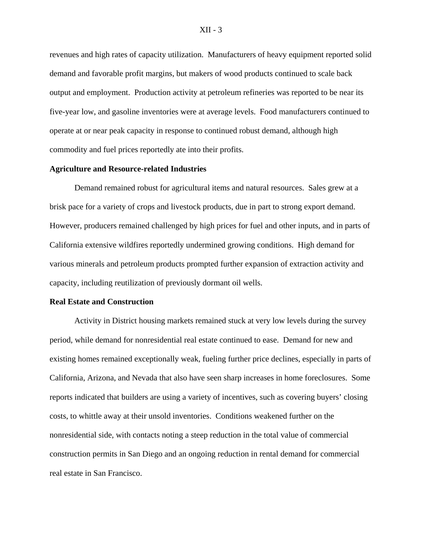revenues and high rates of capacity utilization. Manufacturers of heavy equipment reported solid demand and favorable profit margins, but makers of wood products continued to scale back output and employment. Production activity at petroleum refineries was reported to be near its five-year low, and gasoline inventories were at average levels. Food manufacturers continued to operate at or near peak capacity in response to continued robust demand, although high commodity and fuel prices reportedly ate into their profits.

# **Agriculture and Resource-related Industries**

 Demand remained robust for agricultural items and natural resources. Sales grew at a brisk pace for a variety of crops and livestock products, due in part to strong export demand. However, producers remained challenged by high prices for fuel and other inputs, and in parts of California extensive wildfires reportedly undermined growing conditions. High demand for various minerals and petroleum products prompted further expansion of extraction activity and capacity, including reutilization of previously dormant oil wells.

## **Real Estate and Construction**

 Activity in District housing markets remained stuck at very low levels during the survey period, while demand for nonresidential real estate continued to ease. Demand for new and existing homes remained exceptionally weak, fueling further price declines, especially in parts of California, Arizona, and Nevada that also have seen sharp increases in home foreclosures. Some reports indicated that builders are using a variety of incentives, such as covering buyers' closing costs, to whittle away at their unsold inventories. Conditions weakened further on the nonresidential side, with contacts noting a steep reduction in the total value of commercial construction permits in San Diego and an ongoing reduction in rental demand for commercial real estate in San Francisco.